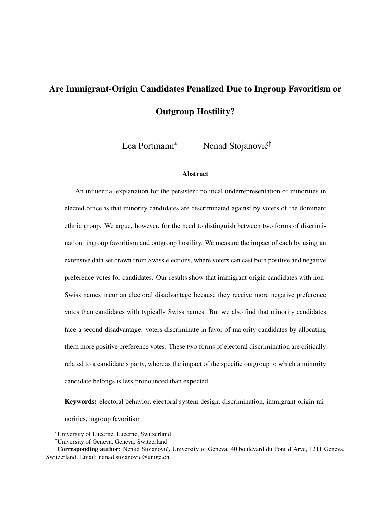# Are Immigrant-Origin Candidates Penalized Due to Ingroup Favoritism or Outgroup Hostility?

Lea Portmann<sup>∗</sup> Nenad Stojanović<sup>‡</sup>

#### **Abstract**

An influential explanation for the persistent political underrepresentation of minorities in elected office is that minority candidates are discriminated against by voters of the dominant ethnic group. We argue, however, for the need to distinguish between two forms of discrimination: ingroup favoritism and outgroup hostility. We measure the impact of each by using an extensive data set drawn from Swiss elections, where voters can cast both positive and negative preference votes for candidates. Our results show that immigrant-origin candidates with non-Swiss names incur an electoral disadvantage because they receive more negative preference votes than candidates with typically Swiss names. But we also find that minority candidates face a second disadvantage: voters discriminate in favor of majority candidates by allocating them more positive preference votes. These two forms of electoral discrimination are critically related to a candidate's party, whereas the impact of the specific outgroup to which a minority candidate belongs is less pronounced than expected.

Keywords: electoral behavior, electoral system design, discrimination, immigrant-origin minorities, ingroup favoritism

<sup>∗</sup>University of Lucerne, Lucerne, Switzerland

<sup>†</sup>University of Geneva, Geneva, Switzerland

<sup>‡</sup>Corresponding author: Nenad Stojanovic, University of Geneva, 40 boulevard du Pont d'Arve, 1211 Geneva, ´ Switzerland. Email: nenad.stojanovic@unige.ch.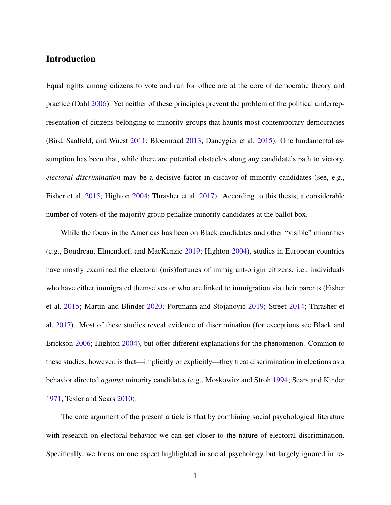## Introduction

Equal rights among citizens to vote and run for office are at the core of democratic theory and practice (Dahl [2006\)](#page-40-0). Yet neither of these principles prevent the problem of the political underrepresentation of citizens belonging to minority groups that haunts most contemporary democracies (Bird, Saalfeld, and Wuest [2011;](#page-38-0) Bloemraad [2013;](#page-39-0) Dancygier et al. [2015\)](#page-40-1). One fundamental assumption has been that, while there are potential obstacles along any candidate's path to victory, *electoral discrimination* may be a decisive factor in disfavor of minority candidates (see, e.g., Fisher et al. [2015;](#page-40-2) Highton [2004;](#page-41-0) Thrasher et al. [2017\)](#page-45-0). According to this thesis, a considerable number of voters of the majority group penalize minority candidates at the ballot box.

While the focus in the Americas has been on Black candidates and other "visible" minorities (e.g., Boudreau, Elmendorf, and MacKenzie [2019;](#page-39-1) Highton [2004\)](#page-41-0), studies in European countries have mostly examined the electoral (mis)fortunes of immigrant-origin citizens, i.e., individuals who have either immigrated themselves or who are linked to immigration via their parents (Fisher et al. [2015;](#page-40-2) Martin and Blinder [2020;](#page-42-0) Portmann and Stojanović [2019;](#page-44-0) Street [2014;](#page-45-1) Thrasher et al. [2017\)](#page-45-0). Most of these studies reveal evidence of discrimination (for exceptions see Black and Erickson [2006;](#page-39-2) Highton [2004\)](#page-41-0), but offer different explanations for the phenomenon. Common to these studies, however, is that—implicitly or explicitly—they treat discrimination in elections as a behavior directed *against* minority candidates (e.g., Moskowitz and Stroh [1994;](#page-43-0) Sears and Kinder [1971;](#page-44-1) Tesler and Sears [2010\)](#page-45-2).

The core argument of the present article is that by combining social psychological literature with research on electoral behavior we can get closer to the nature of electoral discrimination. Specifically, we focus on one aspect highlighted in social psychology but largely ignored in re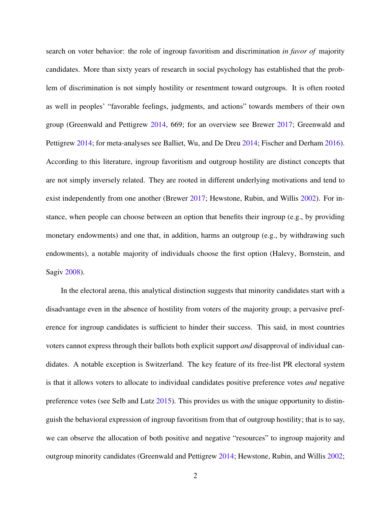search on voter behavior: the role of ingroup favoritism and discrimination *in favor of* majority candidates. More than sixty years of research in social psychology has established that the problem of discrimination is not simply hostility or resentment toward outgroups. It is often rooted as well in peoples' "favorable feelings, judgments, and actions" towards members of their own group (Greenwald and Pettigrew [2014,](#page-41-1) 669; for an overview see Brewer [2017;](#page-39-3) Greenwald and Pettigrew [2014;](#page-41-1) for meta-analyses see Balliet, Wu, and De Dreu [2014;](#page-38-1) Fischer and Derham [2016\)](#page-40-3). According to this literature, ingroup favoritism and outgroup hostility are distinct concepts that are not simply inversely related. They are rooted in different underlying motivations and tend to exist independently from one another (Brewer [2017;](#page-39-3) Hewstone, Rubin, and Willis [2002\)](#page-41-2). For instance, when people can choose between an option that benefits their ingroup (e.g., by providing monetary endowments) and one that, in addition, harms an outgroup (e.g., by withdrawing such endowments), a notable majority of individuals choose the first option (Halevy, Bornstein, and Sagiv [2008\)](#page-41-3).

In the electoral arena, this analytical distinction suggests that minority candidates start with a disadvantage even in the absence of hostility from voters of the majority group; a pervasive preference for ingroup candidates is sufficient to hinder their success. This said, in most countries voters cannot express through their ballots both explicit support *and* disapproval of individual candidates. A notable exception is Switzerland. The key feature of its free-list PR electoral system is that it allows voters to allocate to individual candidates positive preference votes *and* negative preference votes (see Selb and Lutz [2015\)](#page-44-2). This provides us with the unique opportunity to distinguish the behavioral expression of ingroup favoritism from that of outgroup hostility; that is to say, we can observe the allocation of both positive and negative "resources" to ingroup majority and outgroup minority candidates (Greenwald and Pettigrew [2014;](#page-41-1) Hewstone, Rubin, and Willis [2002;](#page-41-2)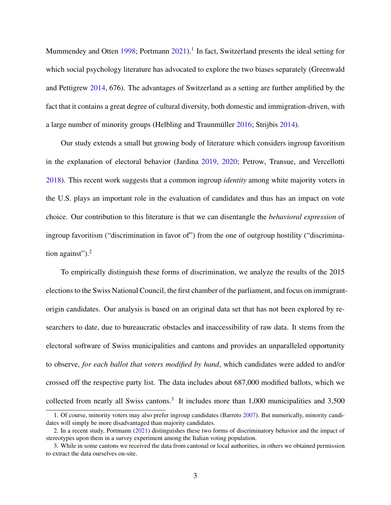Mummendey and Otten [1998;](#page-43-1) Portmann [2021\)](#page-44-3).<sup>[1](#page-3-0)</sup> In fact, Switzerland presents the ideal setting for which social psychology literature has advocated to explore the two biases separately (Greenwald and Pettigrew [2014,](#page-41-1) 676). The advantages of Switzerland as a setting are further amplified by the fact that it contains a great degree of cultural diversity, both domestic and immigration-driven, with a large number of minority groups (Helbling and Traunmüller [2016;](#page-41-4) Strijbis [2014\)](#page-45-3).

Our study extends a small but growing body of literature which considers ingroup favoritism in the explanation of electoral behavior (Jardina [2019,](#page-42-1) [2020;](#page-42-2) Petrow, Transue, and Vercellotti [2018\)](#page-43-2). This recent work suggests that a common ingroup *identity* among white majority voters in the U.S. plays an important role in the evaluation of candidates and thus has an impact on vote choice. Our contribution to this literature is that we can disentangle the *behavioral expression* of ingroup favoritism ("discrimination in favor of") from the one of outgroup hostility ("discrimination against"). $2$ 

To empirically distinguish these forms of discrimination, we analyze the results of the 2015 elections to the Swiss National Council, the first chamber of the parliament, and focus on immigrantorigin candidates. Our analysis is based on an original data set that has not been explored by researchers to date, due to bureaucratic obstacles and inaccessibility of raw data. It stems from the electoral software of Swiss municipalities and cantons and provides an unparalleled opportunity to observe, *for each ballot that voters modified by hand*, which candidates were added to and/or crossed off the respective party list. The data includes about 687,000 modified ballots, which we collected from nearly all Swiss cantons.<sup>[3](#page-3-2)</sup> It includes more than  $1,000$  municipalities and  $3,500$ 

<span id="page-3-0"></span><sup>1.</sup> Of course, minority voters may also prefer ingroup candidates (Barreto [2007\)](#page-38-2). But numerically, minority candidates will simply be more disadvantaged than majority candidates.

<span id="page-3-1"></span><sup>2.</sup> In a recent study, Portmann [\(2021\)](#page-44-3) distinguishes these two forms of discriminatory behavior and the impact of stereotypes upon them in a survey experiment among the Italian voting population.

<span id="page-3-2"></span><sup>3.</sup> While in some cantons we received the data from cantonal or local authorities, in others we obtained permission to extract the data ourselves on-site.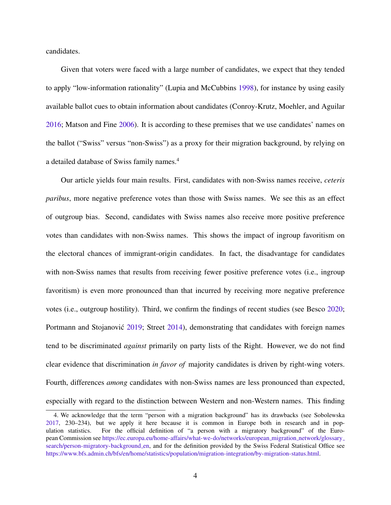candidates.

Given that voters were faced with a large number of candidates, we expect that they tended to apply "low-information rationality" (Lupia and McCubbins [1998\)](#page-42-3), for instance by using easily available ballot cues to obtain information about candidates (Conroy-Krutz, Moehler, and Aguilar [2016;](#page-40-4) Matson and Fine [2006\)](#page-43-3). It is according to these premises that we use candidates' names on the ballot ("Swiss" versus "non-Swiss") as a proxy for their migration background, by relying on a detailed database of Swiss family names.<sup>[4](#page-4-0)</sup>

Our article yields four main results. First, candidates with non-Swiss names receive, *ceteris paribus*, more negative preference votes than those with Swiss names. We see this as an effect of outgroup bias. Second, candidates with Swiss names also receive more positive preference votes than candidates with non-Swiss names. This shows the impact of ingroup favoritism on the electoral chances of immigrant-origin candidates. In fact, the disadvantage for candidates with non-Swiss names that results from receiving fewer positive preference votes (i.e., ingroup favoritism) is even more pronounced than that incurred by receiving more negative preference votes (i.e., outgroup hostility). Third, we confirm the findings of recent studies (see Besco [2020;](#page-38-3) Portmann and Stojanović [2019;](#page-44-0) Street [2014\)](#page-45-1), demonstrating that candidates with foreign names tend to be discriminated *against* primarily on party lists of the Right. However, we do not find clear evidence that discrimination *in favor of* majority candidates is driven by right-wing voters. Fourth, differences *among* candidates with non-Swiss names are less pronounced than expected, especially with regard to the distinction between Western and non-Western names. This finding

<span id="page-4-0"></span><sup>4.</sup> We acknowledge that the term "person with a migration background" has its drawbacks (see Sobolewska [2017,](#page-44-4) 230–234), but we apply it here because it is common in Europe both in research and in population statistics. For the official definition of "a person with a migratory background" of the European Commission see [https://ec.europa.eu/home-affairs/what-we-do/networks/european](https://ec.europa.eu/home-affairs/what-we-do/networks/european_migration_network/glossary_search/person-migratory-background_en)\_migration\_network/glossary\_ [search/person-migratory-background](https://ec.europa.eu/home-affairs/what-we-do/networks/european_migration_network/glossary_search/person-migratory-background_en) en, and for the definition provided by the Swiss Federal Statistical Office see [https://www.bfs.admin.ch/bfs/en/home/statistics/population/migration-integration/by-migration-status.html.](https://www.bfs.admin.ch/bfs/en/home/statistics/population/migration-integration/by-migration-status.html)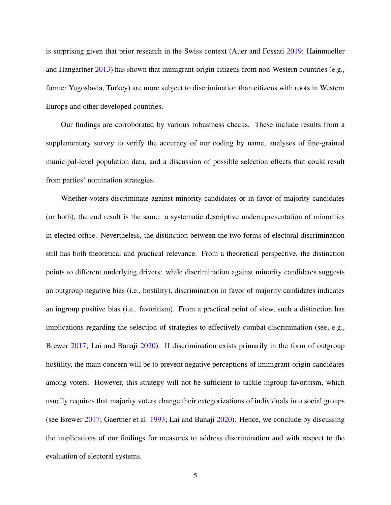is surprising given that prior research in the Swiss context (Auer and Fossati [2019;](#page-38-4) Hainmueller and Hangartner [2013\)](#page-41-5) has shown that immigrant-origin citizens from non-Western countries (e.g., former Yugoslavia, Turkey) are more subject to discrimination than citizens with roots in Western Europe and other developed countries.

Our findings are corroborated by various robustness checks. These include results from a supplementary survey to verify the accuracy of our coding by name, analyses of fine-grained municipal-level population data, and a discussion of possible selection effects that could result from parties' nomination strategies.

Whether voters discriminate against minority candidates or in favor of majority candidates (or both), the end result is the same: a systematic descriptive underrepresentation of minorities in elected office. Nevertheless, the distinction between the two forms of electoral discrimination still has both theoretical and practical relevance. From a theoretical perspective, the distinction points to different underlying drivers: while discrimination against minority candidates suggests an outgroup negative bias (i.e., hostility), discrimination in favor of majority candidates indicates an ingroup positive bias (i.e., favoritism). From a practical point of view, such a distinction has implications regarding the selection of strategies to effectively combat discrimination (see, e.g., Brewer [2017;](#page-39-3) Lai and Banaji [2020\)](#page-42-4). If discrimination exists primarily in the form of outgroup hostility, the main concern will be to prevent negative perceptions of immigrant-origin candidates among voters. However, this strategy will not be sufficient to tackle ingroup favoritism, which usually requires that majority voters change their categorizations of individuals into social groups (see Brewer [2017;](#page-39-3) Gaertner et al. [1993;](#page-40-5) Lai and Banaji [2020\)](#page-42-4). Hence, we conclude by discussing the implications of our findings for measures to address discrimination and with respect to the evaluation of electoral systems.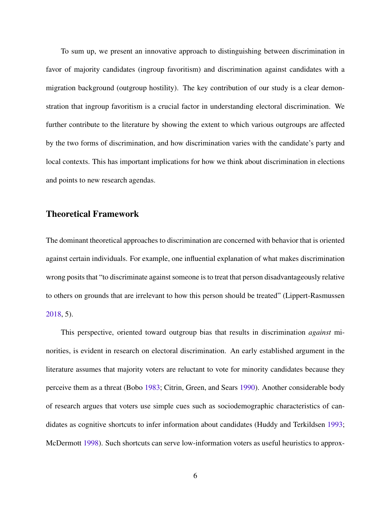To sum up, we present an innovative approach to distinguishing between discrimination in favor of majority candidates (ingroup favoritism) and discrimination against candidates with a migration background (outgroup hostility). The key contribution of our study is a clear demonstration that ingroup favoritism is a crucial factor in understanding electoral discrimination. We further contribute to the literature by showing the extent to which various outgroups are affected by the two forms of discrimination, and how discrimination varies with the candidate's party and local contexts. This has important implications for how we think about discrimination in elections and points to new research agendas.

#### Theoretical Framework

The dominant theoretical approaches to discrimination are concerned with behavior that is oriented against certain individuals. For example, one influential explanation of what makes discrimination wrong posits that "to discriminate against someone is to treat that person disadvantageously relative to others on grounds that are irrelevant to how this person should be treated" (Lippert-Rasmussen [2018,](#page-42-5) 5).

This perspective, oriented toward outgroup bias that results in discrimination *against* minorities, is evident in research on electoral discrimination. An early established argument in the literature assumes that majority voters are reluctant to vote for minority candidates because they perceive them as a threat (Bobo [1983;](#page-39-4) Citrin, Green, and Sears [1990\)](#page-40-6). Another considerable body of research argues that voters use simple cues such as sociodemographic characteristics of candidates as cognitive shortcuts to infer information about candidates (Huddy and Terkildsen [1993;](#page-42-6) McDermott [1998\)](#page-43-4). Such shortcuts can serve low-information voters as useful heuristics to approx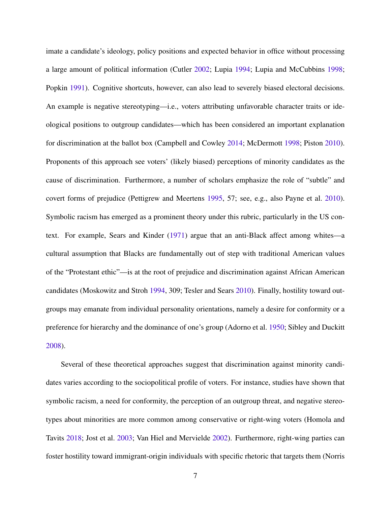imate a candidate's ideology, policy positions and expected behavior in office without processing a large amount of political information (Cutler [2002;](#page-40-7) Lupia [1994;](#page-42-7) Lupia and McCubbins [1998;](#page-42-3) Popkin [1991\)](#page-44-5). Cognitive shortcuts, however, can also lead to severely biased electoral decisions. An example is negative stereotyping—i.e., voters attributing unfavorable character traits or ideological positions to outgroup candidates—which has been considered an important explanation for discrimination at the ballot box (Campbell and Cowley [2014;](#page-39-5) McDermott [1998;](#page-43-4) Piston [2010\)](#page-43-5). Proponents of this approach see voters' (likely biased) perceptions of minority candidates as the cause of discrimination. Furthermore, a number of scholars emphasize the role of "subtle" and covert forms of prejudice (Pettigrew and Meertens [1995,](#page-43-6) 57; see, e.g., also Payne et al. [2010\)](#page-43-7). Symbolic racism has emerged as a prominent theory under this rubric, particularly in the US context. For example, Sears and Kinder [\(1971\)](#page-44-1) argue that an anti-Black affect among whites—a cultural assumption that Blacks are fundamentally out of step with traditional American values of the "Protestant ethic"—is at the root of prejudice and discrimination against African American candidates (Moskowitz and Stroh [1994,](#page-43-0) 309; Tesler and Sears [2010\)](#page-45-2). Finally, hostility toward outgroups may emanate from individual personality orientations, namely a desire for conformity or a preference for hierarchy and the dominance of one's group (Adorno et al. [1950;](#page-38-5) Sibley and Duckitt [2008\)](#page-44-6).

Several of these theoretical approaches suggest that discrimination against minority candidates varies according to the sociopolitical profile of voters. For instance, studies have shown that symbolic racism, a need for conformity, the perception of an outgroup threat, and negative stereotypes about minorities are more common among conservative or right-wing voters (Homola and Tavits [2018;](#page-41-6) Jost et al. [2003;](#page-42-8) Van Hiel and Mervielde [2002\)](#page-45-4). Furthermore, right-wing parties can foster hostility toward immigrant-origin individuals with specific rhetoric that targets them (Norris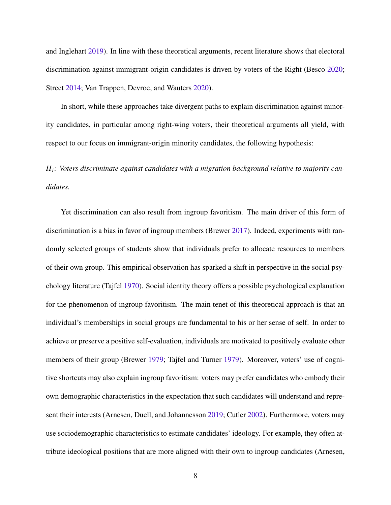and Inglehart [2019\)](#page-43-8). In line with these theoretical arguments, recent literature shows that electoral discrimination against immigrant-origin candidates is driven by voters of the Right (Besco [2020;](#page-38-3) Street [2014;](#page-45-1) Van Trappen, Devroe, and Wauters [2020\)](#page-45-5).

In short, while these approaches take divergent paths to explain discrimination against minority candidates, in particular among right-wing voters, their theoretical arguments all yield, with respect to our focus on immigrant-origin minority candidates, the following hypothesis:

*H1: Voters discriminate against candidates with a migration background relative to majority candidates.*

Yet discrimination can also result from ingroup favoritism. The main driver of this form of discrimination is a bias in favor of ingroup members (Brewer [2017\)](#page-39-3). Indeed, experiments with randomly selected groups of students show that individuals prefer to allocate resources to members of their own group. This empirical observation has sparked a shift in perspective in the social psychology literature (Tajfel [1970\)](#page-45-6). Social identity theory offers a possible psychological explanation for the phenomenon of ingroup favoritism. The main tenet of this theoretical approach is that an individual's memberships in social groups are fundamental to his or her sense of self. In order to achieve or preserve a positive self-evaluation, individuals are motivated to positively evaluate other members of their group (Brewer [1979;](#page-39-6) Tajfel and Turner [1979\)](#page-45-7). Moreover, voters' use of cognitive shortcuts may also explain ingroup favoritism: voters may prefer candidates who embody their own demographic characteristics in the expectation that such candidates will understand and represent their interests (Arnesen, Duell, and Johannesson [2019;](#page-38-6) Cutler [2002\)](#page-40-7). Furthermore, voters may use sociodemographic characteristics to estimate candidates' ideology. For example, they often attribute ideological positions that are more aligned with their own to ingroup candidates (Arnesen,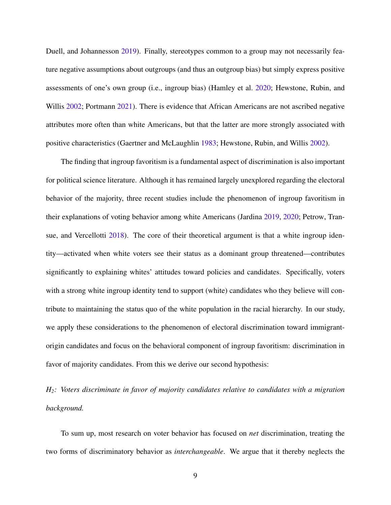Duell, and Johannesson [2019\)](#page-38-6). Finally, stereotypes common to a group may not necessarily feature negative assumptions about outgroups (and thus an outgroup bias) but simply express positive assessments of one's own group (i.e., ingroup bias) (Hamley et al. [2020;](#page-41-7) Hewstone, Rubin, and Willis [2002;](#page-41-2) Portmann [2021\)](#page-44-3). There is evidence that African Americans are not ascribed negative attributes more often than white Americans, but that the latter are more strongly associated with positive characteristics (Gaertner and McLaughlin [1983;](#page-41-8) Hewstone, Rubin, and Willis [2002\)](#page-41-2).

The finding that ingroup favoritism is a fundamental aspect of discrimination is also important for political science literature. Although it has remained largely unexplored regarding the electoral behavior of the majority, three recent studies include the phenomenon of ingroup favoritism in their explanations of voting behavior among white Americans (Jardina [2019,](#page-42-1) [2020;](#page-42-2) Petrow, Transue, and Vercellotti [2018\)](#page-43-2). The core of their theoretical argument is that a white ingroup identity—activated when white voters see their status as a dominant group threatened—contributes significantly to explaining whites' attitudes toward policies and candidates. Specifically, voters with a strong white ingroup identity tend to support (white) candidates who they believe will contribute to maintaining the status quo of the white population in the racial hierarchy. In our study, we apply these considerations to the phenomenon of electoral discrimination toward immigrantorigin candidates and focus on the behavioral component of ingroup favoritism: discrimination in favor of majority candidates. From this we derive our second hypothesis:

*H2: Voters discriminate in favor of majority candidates relative to candidates with a migration background.*

To sum up, most research on voter behavior has focused on *net* discrimination, treating the two forms of discriminatory behavior as *interchangeable*. We argue that it thereby neglects the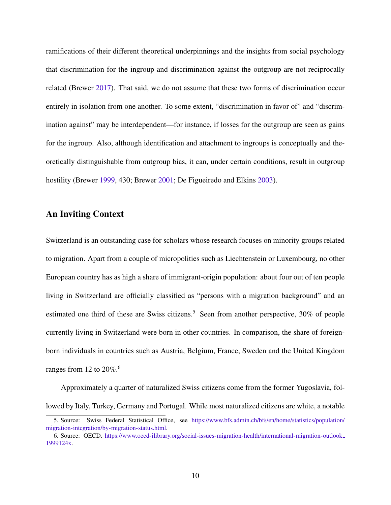ramifications of their different theoretical underpinnings and the insights from social psychology that discrimination for the ingroup and discrimination against the outgroup are not reciprocally related (Brewer [2017\)](#page-39-3). That said, we do not assume that these two forms of discrimination occur entirely in isolation from one another. To some extent, "discrimination in favor of" and "discrimination against" may be interdependent—for instance, if losses for the outgroup are seen as gains for the ingroup. Also, although identification and attachment to ingroups is conceptually and theoretically distinguishable from outgroup bias, it can, under certain conditions, result in outgroup hostility (Brewer [1999,](#page-39-7) 430; Brewer [2001;](#page-39-8) De Figueiredo and Elkins [2003\)](#page-40-8).

#### An Inviting Context

Switzerland is an outstanding case for scholars whose research focuses on minority groups related to migration. Apart from a couple of micropolities such as Liechtenstein or Luxembourg, no other European country has as high a share of immigrant-origin population: about four out of ten people living in Switzerland are officially classified as "persons with a migration background" and an estimated one third of these are Swiss citizens.<sup>[5](#page-10-0)</sup> Seen from another perspective,  $30\%$  of people currently living in Switzerland were born in other countries. In comparison, the share of foreignborn individuals in countries such as Austria, Belgium, France, Sweden and the United Kingdom ranges from 12 to  $20\%$ .<sup>[6](#page-10-1)</sup>

Approximately a quarter of naturalized Swiss citizens come from the former Yugoslavia, followed by Italy, Turkey, Germany and Portugal. While most naturalized citizens are white, a notable

<span id="page-10-0"></span><sup>5.</sup> Source: Swiss Federal Statistical Office, see [https://www.bfs.admin.ch/bfs/en/home/statistics/population/](https://www.bfs.admin.ch/bfs/en/home/statistics/population/migration-integration/by-migration-status.html) [migration-integration/by-migration-status.html.](https://www.bfs.admin.ch/bfs/en/home/statistics/population/migration-integration/by-migration-status.html)

<span id="page-10-1"></span><sup>6.</sup> Source: OECD. [https://www.oecd-ilibrary.org/social-issues-migration-health/international-migration-outlook]( https://www.oecd-ilibrary.org/social-issues-migration-health/international-migration-outlook_1999124x) [1999124x.]( https://www.oecd-ilibrary.org/social-issues-migration-health/international-migration-outlook_1999124x)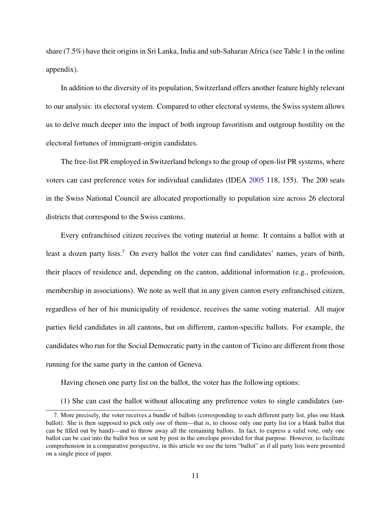share (7.5%) have their origins in Sri Lanka, India and sub-Saharan Africa (see Table 1 in the online appendix).

In addition to the diversity of its population, Switzerland offers another feature highly relevant to our analysis: its electoral system. Compared to other electoral systems, the Swiss system allows us to delve much deeper into the impact of both ingroup favoritism and outgroup hostility on the electoral fortunes of immigrant-origin candidates.

The free-list PR employed in Switzerland belongs to the group of open-list PR systems, where voters can cast preference votes for individual candidates (IDEA [2005](#page-42-9) 118, 155). The 200 seats in the Swiss National Council are allocated proportionally to population size across 26 electoral districts that correspond to the Swiss cantons.

Every enfranchised citizen receives the voting material at home. It contains a ballot with at least a dozen party lists.<sup>[7](#page-11-0)</sup> On every ballot the voter can find candidates' names, years of birth, their places of residence and, depending on the canton, additional information (e.g., profession, membership in associations). We note as well that in any given canton every enfranchised citizen, regardless of her of his municipality of residence, receives the same voting material. All major parties field candidates in all cantons, but on different, canton-specific ballots. For example, the candidates who run for the Social Democratic party in the canton of Ticino are different from those running for the same party in the canton of Geneva.

Having chosen one party list on the ballot, the voter has the following options:

<span id="page-11-0"></span>(1) She can cast the ballot without allocating any preference votes to single candidates (*un-*

<sup>7.</sup> More precisely, the voter receives a bundle of ballots (corresponding to each different party list, plus one blank ballot). She is then supposed to pick only *one* of them—that is, to choose only one party list (or a blank ballot that can be filled out by hand)—and to throw away all the remaining ballots. In fact, to express a valid vote, only one ballot can be cast into the ballot box or sent by post in the envelope provided for that purpose. However, to facilitate comprehension in a comparative perspective, in this article we use the term "ballot" as if all party lists were presented on a single piece of paper.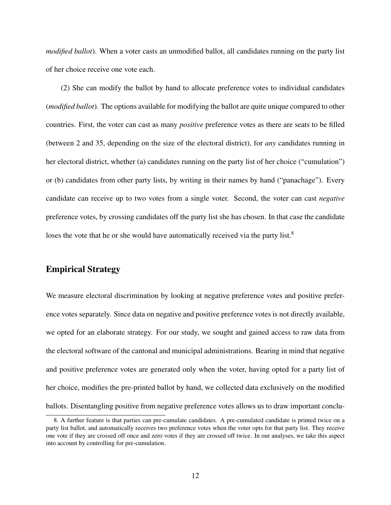*modified ballot*). When a voter casts an unmodified ballot, all candidates running on the party list of her choice receive one vote each.

(2) She can modify the ballot by hand to allocate preference votes to individual candidates (*modified ballot*). The options available for modifying the ballot are quite unique compared to other countries. First, the voter can cast as many *positive* preference votes as there are seats to be filled (between 2 and 35, depending on the size of the electoral district), for *any* candidates running in her electoral district, whether (a) candidates running on the party list of her choice ("cumulation") or (b) candidates from other party lists, by writing in their names by hand ("panachage"). Every candidate can receive up to two votes from a single voter. Second, the voter can cast *negative* preference votes, by crossing candidates off the party list she has chosen. In that case the candidate loses the vote that he or she would have automatically received via the party list.<sup>[8](#page-12-0)</sup>

## Empirical Strategy

We measure electoral discrimination by looking at negative preference votes and positive preference votes separately. Since data on negative and positive preference votes is not directly available, we opted for an elaborate strategy. For our study, we sought and gained access to raw data from the electoral software of the cantonal and municipal administrations. Bearing in mind that negative and positive preference votes are generated only when the voter, having opted for a party list of her choice, modifies the pre-printed ballot by hand, we collected data exclusively on the modified ballots. Disentangling positive from negative preference votes allows us to draw important conclu-

<span id="page-12-0"></span><sup>8.</sup> A further feature is that parties can pre-cumulate candidates. A pre-cumulated candidate is printed twice on a party list ballot, and automatically receives two preference votes when the voter opts for that party list. They receive one vote if they are crossed off once and zero votes if they are crossed off twice. In our analyses, we take this aspect into account by controlling for pre-cumulation.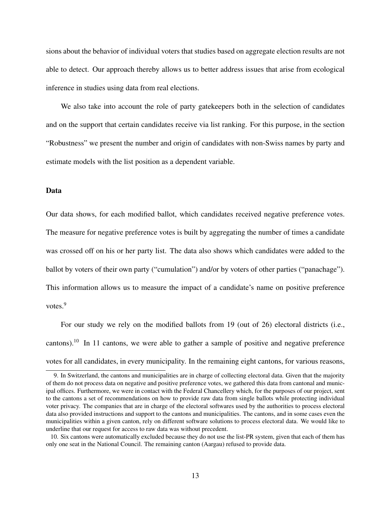sions about the behavior of individual voters that studies based on aggregate election results are not able to detect. Our approach thereby allows us to better address issues that arise from ecological inference in studies using data from real elections.

We also take into account the role of party gatekeepers both in the selection of candidates and on the support that certain candidates receive via list ranking. For this purpose, in the section "Robustness" we present the number and origin of candidates with non-Swiss names by party and estimate models with the list position as a dependent variable.

#### Data

Our data shows, for each modified ballot, which candidates received negative preference votes. The measure for negative preference votes is built by aggregating the number of times a candidate was crossed off on his or her party list. The data also shows which candidates were added to the ballot by voters of their own party ("cumulation") and/or by voters of other parties ("panachage"). This information allows us to measure the impact of a candidate's name on positive preference votes.<sup>[9](#page-13-0)</sup>

For our study we rely on the modified ballots from 19 (out of 26) electoral districts (i.e., cantons).[10](#page-13-1) In 11 cantons, we were able to gather a sample of positive and negative preference votes for all candidates, in every municipality. In the remaining eight cantons, for various reasons,

<span id="page-13-0"></span><sup>9.</sup> In Switzerland, the cantons and municipalities are in charge of collecting electoral data. Given that the majority of them do not process data on negative and positive preference votes, we gathered this data from cantonal and municipal offices. Furthermore, we were in contact with the Federal Chancellery which, for the purposes of our project, sent to the cantons a set of recommendations on how to provide raw data from single ballots while protecting individual voter privacy. The companies that are in charge of the electoral softwares used by the authorities to process electoral data also provided instructions and support to the cantons and municipalities. The cantons, and in some cases even the municipalities within a given canton, rely on different software solutions to process electoral data. We would like to underline that our request for access to raw data was without precedent.

<span id="page-13-1"></span><sup>10.</sup> Six cantons were automatically excluded because they do not use the list-PR system, given that each of them has only one seat in the National Council. The remaining canton (Aargau) refused to provide data.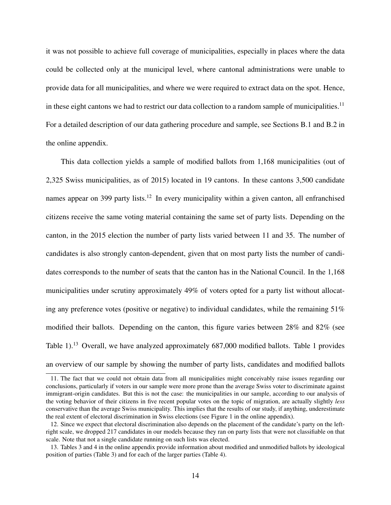it was not possible to achieve full coverage of municipalities, especially in places where the data could be collected only at the municipal level, where cantonal administrations were unable to provide data for all municipalities, and where we were required to extract data on the spot. Hence, in these eight cantons we had to restrict our data collection to a random sample of municipalities.<sup>[11](#page-14-0)</sup> For a detailed description of our data gathering procedure and sample, see Sections B.1 and B.2 in the online appendix.

This data collection yields a sample of modified ballots from 1,168 municipalities (out of 2,325 Swiss municipalities, as of 2015) located in 19 cantons. In these cantons 3,500 candidate names appear on 399 party lists.<sup>[12](#page-14-1)</sup> In every municipality within a given canton, all enfranchised citizens receive the same voting material containing the same set of party lists. Depending on the canton, in the 2015 election the number of party lists varied between 11 and 35. The number of candidates is also strongly canton-dependent, given that on most party lists the number of candidates corresponds to the number of seats that the canton has in the National Council. In the 1,168 municipalities under scrutiny approximately 49% of voters opted for a party list without allocating any preference votes (positive or negative) to individual candidates, while the remaining 51% modified their ballots. Depending on the canton, this figure varies between 28% and 82% (see Table 1).<sup>[13](#page-14-2)</sup> Overall, we have analyzed approximately  $687,000$  modified ballots. Table 1 provides an overview of our sample by showing the number of party lists, candidates and modified ballots

<span id="page-14-0"></span><sup>11.</sup> The fact that we could not obtain data from all municipalities might conceivably raise issues regarding our conclusions, particularly if voters in our sample were more prone than the average Swiss voter to discriminate against immigrant-origin candidates. But this is not the case: the municipalities in our sample, according to our analysis of the voting behavior of their citizens in five recent popular votes on the topic of migration, are actually slightly *less* conservative than the average Swiss municipality. This implies that the results of our study, if anything, underestimate the real extent of electoral discrimination in Swiss elections (see Figure 1 in the online appendix).

<span id="page-14-1"></span><sup>12.</sup> Since we expect that electoral discrimination also depends on the placement of the candidate's party on the leftright scale, we dropped 217 candidates in our models because they ran on party lists that were not classifiable on that scale. Note that not a single candidate running on such lists was elected.

<span id="page-14-2"></span><sup>13.</sup> Tables 3 and 4 in the online appendix provide information about modified and unmodified ballots by ideological position of parties (Table 3) and for each of the larger parties (Table 4).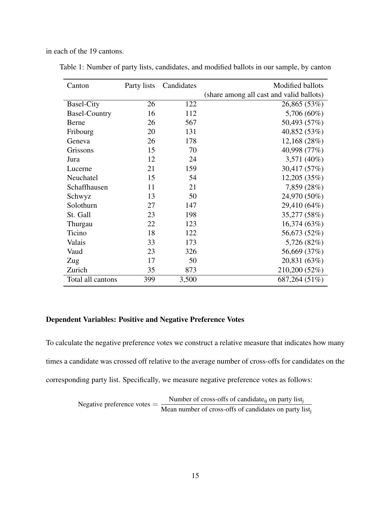in each of the 19 cantons.

| Canton               | Party lists | Candidates | Modified ballots                         |
|----------------------|-------------|------------|------------------------------------------|
|                      |             |            | (share among all cast and valid ballots) |
| <b>Basel-City</b>    | 26          | 122        | 26,865 (53%)                             |
| <b>Basel-Country</b> | 16          | 112        | 5,706 (60%)                              |
| Berne                | 26          | 567        | 50,493 (57%)                             |
| Fribourg             | 20          | 131        | 40,852 (53%)                             |
| Geneva               | 26          | 178        | 12,168 (28%)                             |
| Grissons             | 15          | 70         | 40,998 (77%)                             |
| Jura                 | 12          | 24         | 3,571 (40%)                              |
| Lucerne              | 21          | 159        | 30,417 (57%)                             |
| Neuchatel            | 15          | 54         | 12,205 (35%)                             |
| Schaffhausen         | 11          | 21         | 7,859 (28%)                              |
| Schwyz               | 13          | 50         | 24,970 (50%)                             |
| Solothurn            | 27          | 147        | 29,410 (64%)                             |
| St. Gall             | 23          | 198        | 35,277 (58%)                             |
| Thurgau              | 22          | 123        | 16,374(63%)                              |
| Ticino               | 18          | 122        | 56,673 (52%)                             |
| Valais               | 33          | 173        | 5,726 (82%)                              |
| Vaud                 | 23          | 326        | 56,669 (37%)                             |
| Zug                  | 17          | 50         | 20,831 (63%)                             |
| Zurich               | 35          | 873        | 210,200 (52%)                            |
| Total all cantons    | 399         | 3,500      | 687,264 (51%)                            |

Table 1: Number of party lists, candidates, and modified ballots in our sample, by canton

#### Dependent Variables: Positive and Negative Preference Votes

To calculate the negative preference votes we construct a relative measure that indicates how many times a candidate was crossed off relative to the average number of cross-offs for candidates on the corresponding party list. Specifically, we measure negative preference votes as follows:

> Negative preference votes  $=$   $\frac{\text{Number of cross-offs of candidate}_{ij} \text{ on party list}_{ij}}{\text{Mean of the body}}$ Mean number of cross-offs of candidates on party list<sub>j</sub>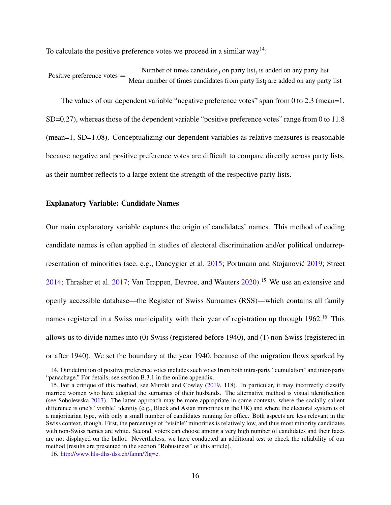To calculate the positive preference votes we proceed in a similar way<sup>[14](#page-16-0)</sup>:

Positive preference votes = Number of times candidate<sub>ij</sub> on party list<sub>j</sub> is added on any party list Mean number of times candidates from party list<sub>j</sub> are added on any party list

The values of our dependent variable "negative preference votes" span from 0 to 2.3 (mean=1, SD=0.27), whereas those of the dependent variable "positive preference votes" range from 0 to 11.8 (mean=1, SD=1.08). Conceptualizing our dependent variables as relative measures is reasonable because negative and positive preference votes are difficult to compare directly across party lists, as their number reflects to a large extent the strength of the respective party lists.

#### Explanatory Variable: Candidate Names

Our main explanatory variable captures the origin of candidates' names. This method of coding candidate names is often applied in studies of electoral discrimination and/or political underrep-resentation of minorities (see, e.g., Dancygier et al. [2015;](#page-40-1) Portmann and Stojanović [2019;](#page-44-0) Street [2014;](#page-45-1) Thrasher et al. [2017;](#page-45-0) Van Trappen, Devroe, and Wauters [2020\)](#page-45-5).[15](#page-16-1) We use an extensive and openly accessible database—the Register of Swiss Surnames (RSS)—which contains all family names registered in a Swiss municipality with their year of registration up through 1962.<sup>[16](#page-16-2)</sup> This allows us to divide names into (0) Swiss (registered before 1940), and (1) non-Swiss (registered in or after 1940). We set the boundary at the year 1940, because of the migration flows sparked by

<span id="page-16-0"></span><sup>14.</sup> Our definition of positive preference votes includes such votes from both intra-party "cumulation" and inter-party "panachage." For details, see section B.3.1 in the online appendix.

<span id="page-16-1"></span><sup>15.</sup> For a critique of this method, see Muroki and Cowley [\(2019,](#page-43-9) 118). In particular, it may incorrectly classify married women who have adopted the surnames of their husbands. The alternative method is visual identification (see Sobolewska [2017\)](#page-44-4). The latter approach may be more appropriate in some contexts, where the socially salient difference is one's "visible" identity (e.g., Black and Asian minorities in the UK) and where the electoral system is of a majoritarian type, with only a small number of candidates running for office. Both aspects are less relevant in the Swiss context, though. First, the percentage of "visible" minorities is relatively low, and thus most minority candidates with non-Swiss names are white. Second, voters can choose among a very high number of candidates and their faces are not displayed on the ballot. Nevertheless, we have conducted an additional test to check the reliability of our method (results are presented in the section "Robustness" of this article).

<span id="page-16-2"></span><sup>16.</sup> <http://www.hls-dhs-dss.ch/famn/?lg=e.>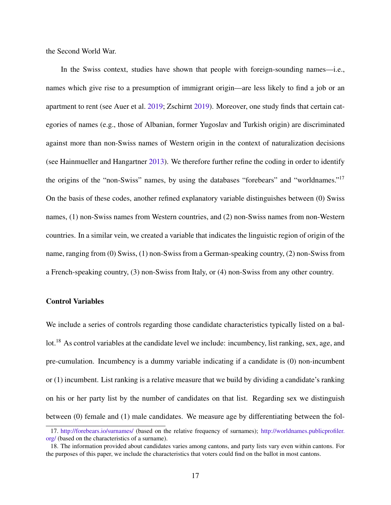the Second World War.

In the Swiss context, studies have shown that people with foreign-sounding names—i.e., names which give rise to a presumption of immigrant origin—are less likely to find a job or an apartment to rent (see Auer et al. [2019;](#page-38-7) Zschirnt [2019\)](#page-46-0). Moreover, one study finds that certain categories of names (e.g., those of Albanian, former Yugoslav and Turkish origin) are discriminated against more than non-Swiss names of Western origin in the context of naturalization decisions (see Hainmueller and Hangartner [2013\)](#page-41-5). We therefore further refine the coding in order to identify the origins of the "non-Swiss" names, by using the databases "forebears" and "worldnames."[17](#page-17-0) On the basis of these codes, another refined explanatory variable distinguishes between (0) Swiss names, (1) non-Swiss names from Western countries, and (2) non-Swiss names from non-Western countries. In a similar vein, we created a variable that indicates the linguistic region of origin of the name, ranging from (0) Swiss, (1) non-Swiss from a German-speaking country, (2) non-Swiss from a French-speaking country, (3) non-Swiss from Italy, or (4) non-Swiss from any other country.

#### Control Variables

We include a series of controls regarding those candidate characteristics typically listed on a bal-lot.<sup>[18](#page-17-1)</sup> As control variables at the candidate level we include: incumbency, list ranking, sex, age, and pre-cumulation. Incumbency is a dummy variable indicating if a candidate is (0) non-incumbent or (1) incumbent. List ranking is a relative measure that we build by dividing a candidate's ranking on his or her party list by the number of candidates on that list. Regarding sex we distinguish between (0) female and (1) male candidates. We measure age by differentiating between the fol-

<span id="page-17-0"></span><sup>17.</sup> <http://forebears.io/surnames/> (based on the relative frequency of surnames); [http://worldnames.publicprofiler.](http://worldnames.publicprofiler.org/) [org/](http://worldnames.publicprofiler.org/) (based on the characteristics of a surname).

<span id="page-17-1"></span><sup>18.</sup> The information provided about candidates varies among cantons, and party lists vary even within cantons. For the purposes of this paper, we include the characteristics that voters could find on the ballot in most cantons.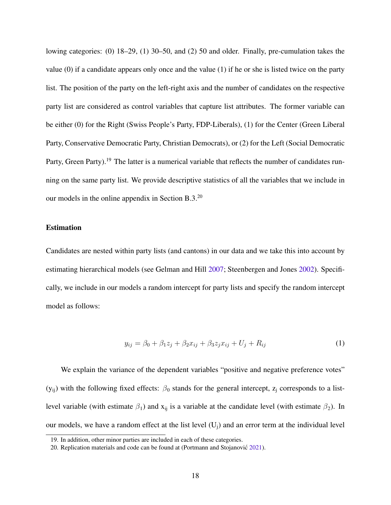lowing categories: (0) 18–29, (1) 30–50, and (2) 50 and older. Finally, pre-cumulation takes the value (0) if a candidate appears only once and the value (1) if he or she is listed twice on the party list. The position of the party on the left-right axis and the number of candidates on the respective party list are considered as control variables that capture list attributes. The former variable can be either (0) for the Right (Swiss People's Party, FDP-Liberals), (1) for the Center (Green Liberal Party, Conservative Democratic Party, Christian Democrats), or (2) for the Left (Social Democratic Party, Green Party).<sup>[19](#page-18-0)</sup> The latter is a numerical variable that reflects the number of candidates running on the same party list. We provide descriptive statistics of all the variables that we include in our models in the online appendix in Section B.3.[20](#page-18-1)

#### **Estimation**

Candidates are nested within party lists (and cantons) in our data and we take this into account by estimating hierarchical models (see Gelman and Hill [2007;](#page-41-9) Steenbergen and Jones [2002\)](#page-45-8). Specifically, we include in our models a random intercept for party lists and specify the random intercept model as follows:

$$
y_{ij} = \beta_0 + \beta_1 z_j + \beta_2 x_{ij} + \beta_3 z_j x_{ij} + U_j + R_{ij}
$$
 (1)

We explain the variance of the dependent variables "positive and negative preference votes"  $(y_{ii})$  with the following fixed effects:  $\beta_0$  stands for the general intercept,  $z_i$  corresponds to a listlevel variable (with estimate  $\beta_1$ ) and  $x_{ij}$  is a variable at the candidate level (with estimate  $\beta_2$ ). In our models, we have a random effect at the list level  $(U_i)$  and an error term at the individual level

<span id="page-18-0"></span><sup>19.</sup> In addition, other minor parties are included in each of these categories.

<span id="page-18-1"></span><sup>20.</sup> Replication materials and code can be found at (Portmann and Stojanovic´ [2021\)](#page-44-7).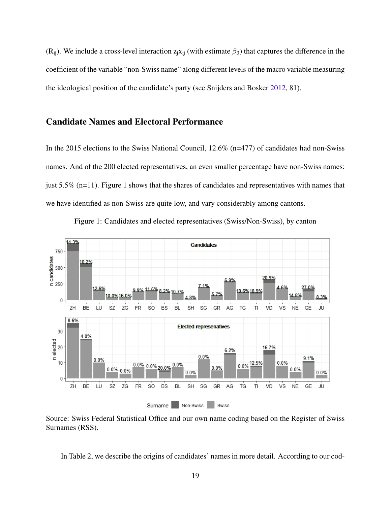(R<sub>ii</sub>). We include a cross-level interaction  $z_i x_{ii}$  (with estimate  $\beta_3$ ) that captures the difference in the coefficient of the variable "non-Swiss name" along different levels of the macro variable measuring the ideological position of the candidate's party (see Snijders and Bosker [2012,](#page-44-8) 81).

## Candidate Names and Electoral Performance

In the 2015 elections to the Swiss National Council, 12.6% (n=477) of candidates had non-Swiss names. And of the 200 elected representatives, an even smaller percentage have non-Swiss names: just 5.5% (n=11). Figure 1 shows that the shares of candidates and representatives with names that we have identified as non-Swiss are quite low, and vary considerably among cantons.





Source: Swiss Federal Statistical Office and our own name coding based on the Register of Swiss Surnames (RSS).

In [Table 2,](#page-20-0) we describe the origins of candidates' names in more detail. According to our cod-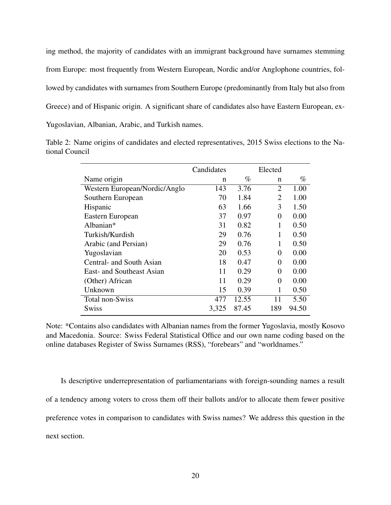ing method, the majority of candidates with an immigrant background have surnames stemming from Europe: most frequently from Western European, Nordic and/or Anglophone countries, followed by candidates with surnames from Southern Europe (predominantly from Italy but also from Greece) and of Hispanic origin. A significant share of candidates also have Eastern European, ex-Yugoslavian, Albanian, Arabic, and Turkish names.

<span id="page-20-0"></span>Table 2: Name origins of candidates and elected representatives, 2015 Swiss elections to the National Council

|                               | Candidates |       | Elected        |       |
|-------------------------------|------------|-------|----------------|-------|
| Name origin                   | n          | $\%$  | n              | $\%$  |
| Western European/Nordic/Anglo | 143        | 3.76  | $\overline{2}$ | 1.00  |
| Southern European             | 70         | 1.84  | $\overline{2}$ | 1.00  |
| Hispanic                      | 63         | 1.66  | 3              | 1.50  |
| Eastern European              | 37         | 0.97  | $\theta$       | 0.00  |
| Albanian*                     | 31         | 0.82  | 1              | 0.50  |
| Turkish/Kurdish               | 29         | 0.76  | 1              | 0.50  |
| Arabic (and Persian)          | 29         | 0.76  | 1              | 0.50  |
| Yugoslavian                   | 20         | 0.53  | 0              | 0.00  |
| Central- and South Asian      | 18         | 0.47  | $\theta$       | 0.00  |
| East- and Southeast Asian     | 11         | 0.29  | $\theta$       | 0.00  |
| (Other) African               | 11         | 0.29  | 0              | 0.00  |
| Unknown                       | 15         | 0.39  | 1              | 0.50  |
| Total non-Swiss               | 477        | 12.55 | 11             | 5.50  |
| <b>Swiss</b>                  | 3,325      | 87.45 | 189            | 94.50 |

Note: \*Contains also candidates with Albanian names from the former Yugoslavia, mostly Kosovo and Macedonia. Source: Swiss Federal Statistical Office and our own name coding based on the online databases Register of Swiss Surnames (RSS), "forebears" and "worldnames."

Is descriptive underrepresentation of parliamentarians with foreign-sounding names a result of a tendency among voters to cross them off their ballots and/or to allocate them fewer positive preference votes in comparison to candidates with Swiss names? We address this question in the next section.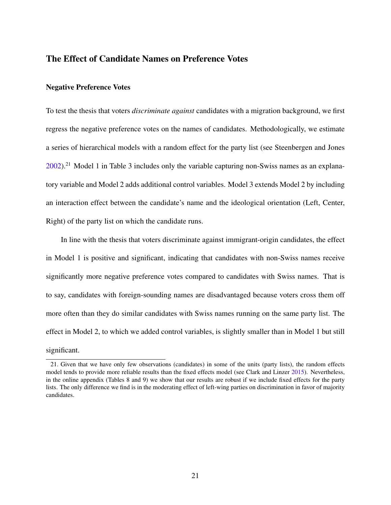## The Effect of Candidate Names on Preference Votes

#### Negative Preference Votes

To test the thesis that voters *discriminate against* candidates with a migration background, we first regress the negative preference votes on the names of candidates. Methodologically, we estimate a series of hierarchical models with a random effect for the party list (see Steenbergen and Jones  $2002$ <sup>[21](#page-21-0)</sup> Model 1 in [Table 3](#page-22-0) includes only the variable capturing non-Swiss names as an explanatory variable and Model 2 adds additional control variables. Model 3 extends Model 2 by including an interaction effect between the candidate's name and the ideological orientation (Left, Center, Right) of the party list on which the candidate runs.

In line with the thesis that voters discriminate against immigrant-origin candidates, the effect in Model 1 is positive and significant, indicating that candidates with non-Swiss names receive significantly more negative preference votes compared to candidates with Swiss names. That is to say, candidates with foreign-sounding names are disadvantaged because voters cross them off more often than they do similar candidates with Swiss names running on the same party list. The effect in Model 2, to which we added control variables, is slightly smaller than in Model 1 but still significant.

<span id="page-21-0"></span><sup>21.</sup> Given that we have only few observations (candidates) in some of the units (party lists), the random effects model tends to provide more reliable results than the fixed effects model (see Clark and Linzer [2015\)](#page-40-9). Nevertheless, in the online appendix (Tables 8 and 9) we show that our results are robust if we include fixed effects for the party lists. The only difference we find is in the moderating effect of left-wing parties on discrimination in favor of majority candidates.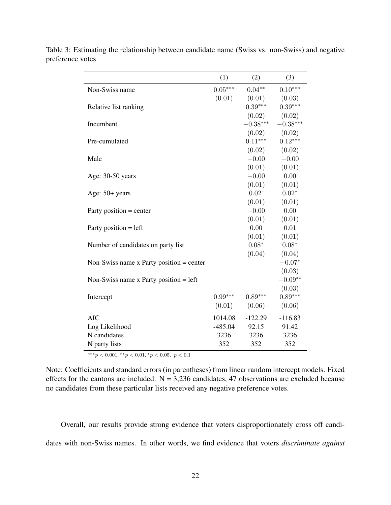|                                            | (1)       | (2)        | (3)        |
|--------------------------------------------|-----------|------------|------------|
| Non-Swiss name                             | $0.05***$ | $0.04**$   | $0.10***$  |
|                                            | (0.01)    | (0.01)     | (0.03)     |
| Relative list ranking                      |           | $0.39***$  | $0.39***$  |
|                                            |           | (0.02)     | (0.02)     |
| Incumbent                                  |           | $-0.38***$ | $-0.38***$ |
|                                            |           | (0.02)     | (0.02)     |
| Pre-cumulated                              |           | $0.11***$  | $0.12***$  |
|                                            |           | (0.02)     | (0.02)     |
| Male                                       |           | $-0.00$    | $-0.00$    |
|                                            |           | (0.01)     | (0.01)     |
| Age: 30-50 years                           |           | $-0.00$    | 0.00       |
|                                            |           | (0.01)     | (0.01)     |
| Age: $50+$ years                           |           | 0.02       | $0.02*$    |
|                                            |           | (0.01)     | (0.01)     |
| Party position = center                    |           | $-0.00$    | 0.00       |
|                                            |           | (0.01)     | (0.01)     |
| Party position $=$ left                    |           | 0.00       | 0.01       |
|                                            |           | (0.01)     | (0.01)     |
| Number of candidates on party list         |           | $0.08*$    | $0.08*$    |
|                                            |           | (0.04)     | (0.04)     |
| Non-Swiss name x Party position $=$ center |           |            | $-0.07*$   |
|                                            |           |            | (0.03)     |
| Non-Swiss name x Party position $=$ left   |           |            | $-0.09**$  |
|                                            |           |            | (0.03)     |
| Intercept                                  | $0.99***$ | $0.89***$  | $0.89***$  |
|                                            | (0.01)    | (0.06)     | (0.06)     |
| <b>AIC</b>                                 | 1014.08   | $-122.29$  | $-116.83$  |
| Log Likelihood                             | $-485.04$ | 92.15      | 91.42      |
| N candidates                               | 3236      | 3236       | 3236       |
| N party lists                              | 352       | 352        | 352        |

<span id="page-22-0"></span>Table 3: Estimating the relationship between candidate name (Swiss vs. non-Swiss) and negative preference votes

 $***p<sub>0.001</sub>, **p<sub>0.01</sub>, *p<sub>0.05</sub>, p<sub>0.1</sub>$ 

Note: Coefficients and standard errors (in parentheses) from linear random intercept models. Fixed effects for the cantons are included.  $N = 3,236$  candidates, 47 observations are excluded because no candidates from these particular lists received any negative preference votes.

Overall, our results provide strong evidence that voters disproportionately cross off candidates with non-Swiss names. In other words, we find evidence that voters *discriminate against*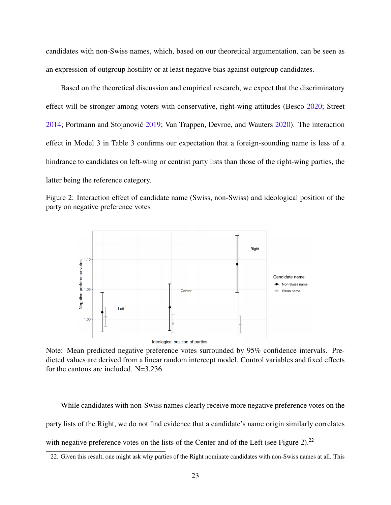candidates with non-Swiss names, which, based on our theoretical argumentation, can be seen as an expression of outgroup hostility or at least negative bias against outgroup candidates.

Based on the theoretical discussion and empirical research, we expect that the discriminatory effect will be stronger among voters with conservative, right-wing attitudes (Besco [2020;](#page-38-3) Street [2014;](#page-45-1) Portmann and Stojanović [2019;](#page-44-0) Van Trappen, Devroe, and Wauters [2020\)](#page-45-5). The interaction effect in Model 3 in [Table 3](#page-22-0) confirms our expectation that a foreign-sounding name is less of a hindrance to candidates on left-wing or centrist party lists than those of the right-wing parties, the latter being the reference category.

<span id="page-23-0"></span>



Note: Mean predicted negative preference votes surrounded by 95% confidence intervals. Predicted values are derived from a linear random intercept model. Control variables and fixed effects for the cantons are included. N=3,236.

While candidates with non-Swiss names clearly receive more negative preference votes on the party lists of the Right, we do not find evidence that a candidate's name origin similarly correlates with negative preference votes on the lists of the Center and of the Left (see [Figure 2\)](#page-23-0).<sup>[22](#page-23-1)</sup>

<span id="page-23-1"></span><sup>22.</sup> Given this result, one might ask why parties of the Right nominate candidates with non-Swiss names at all. This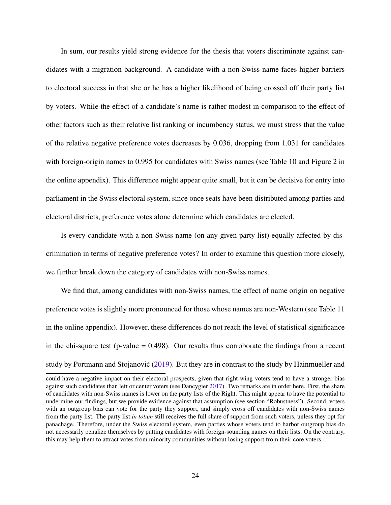In sum, our results yield strong evidence for the thesis that voters discriminate against candidates with a migration background. A candidate with a non-Swiss name faces higher barriers to electoral success in that she or he has a higher likelihood of being crossed off their party list by voters. While the effect of a candidate's name is rather modest in comparison to the effect of other factors such as their relative list ranking or incumbency status, we must stress that the value of the relative negative preference votes decreases by 0.036, dropping from 1.031 for candidates with foreign-origin names to 0.995 for candidates with Swiss names (see Table 10 and Figure 2 in the online appendix). This difference might appear quite small, but it can be decisive for entry into parliament in the Swiss electoral system, since once seats have been distributed among parties and electoral districts, preference votes alone determine which candidates are elected.

Is every candidate with a non-Swiss name (on any given party list) equally affected by discrimination in terms of negative preference votes? In order to examine this question more closely, we further break down the category of candidates with non-Swiss names.

We find that, among candidates with non-Swiss names, the effect of name origin on negative preference votes is slightly more pronounced for those whose names are non-Western (see Table 11 in the online appendix). However, these differences do not reach the level of statistical significance in the chi-square test (p-value  $= 0.498$ ). Our results thus corroborate the findings from a recent study by Portmann and Stojanović ([2019\)](#page-44-0). But they are in contrast to the study by Hainmueller and

could have a negative impact on their electoral prospects, given that right-wing voters tend to have a stronger bias against such candidates than left or center voters (see Dancygier [2017\)](#page-40-10). Two remarks are in order here. First, the share of candidates with non-Swiss names is lower on the party lists of the Right. This might appear to have the potential to undermine our findings, but we provide evidence against that assumption (see section "Robustness"). Second, voters with an outgroup bias can vote for the party they support, and simply cross off candidates with non-Swiss names from the party list. The party list *in totum* still receives the full share of support from such voters, unless they opt for panachage. Therefore, under the Swiss electoral system, even parties whose voters tend to harbor outgroup bias do not necessarily penalize themselves by putting candidates with foreign-sounding names on their lists. On the contrary, this may help them to attract votes from minority communities without losing support from their core voters.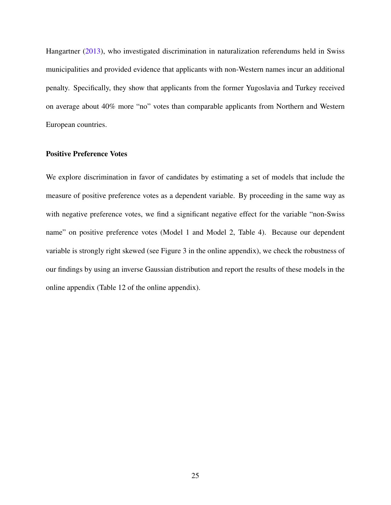Hangartner [\(2013\)](#page-41-5), who investigated discrimination in naturalization referendums held in Swiss municipalities and provided evidence that applicants with non-Western names incur an additional penalty. Specifically, they show that applicants from the former Yugoslavia and Turkey received on average about 40% more "no" votes than comparable applicants from Northern and Western European countries.

#### Positive Preference Votes

We explore discrimination in favor of candidates by estimating a set of models that include the measure of positive preference votes as a dependent variable. By proceeding in the same way as with negative preference votes, we find a significant negative effect for the variable "non-Swiss" name" on positive preference votes (Model 1 and Model 2, Table 4). Because our dependent variable is strongly right skewed (see Figure 3 in the online appendix), we check the robustness of our findings by using an inverse Gaussian distribution and report the results of these models in the online appendix (Table 12 of the online appendix).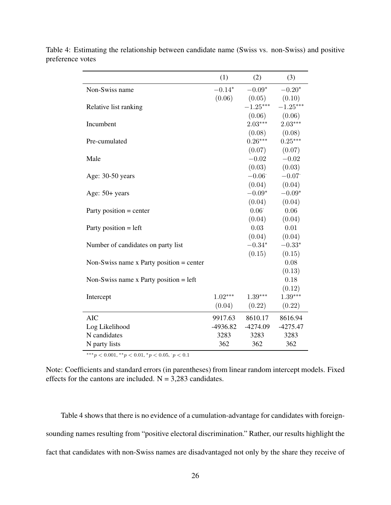|                                            | (1)        | (2)        | (3)        |
|--------------------------------------------|------------|------------|------------|
| Non-Swiss name                             | $-0.14*$   | $-0.09*$   | $-0.20*$   |
|                                            | (0.06)     | (0.05)     | (0.10)     |
| Relative list ranking                      |            | $-1.25***$ | $-1.25***$ |
|                                            |            | (0.06)     | (0.06)     |
| Incumbent                                  |            | $2.03***$  | $2.03***$  |
|                                            |            | (0.08)     | (0.08)     |
| Pre-cumulated                              |            | $0.26***$  | $0.25***$  |
|                                            |            | (0.07)     | (0.07)     |
| Male                                       |            | $-0.02$    | $-0.02$    |
|                                            |            | (0.03)     | (0.03)     |
| Age: 30-50 years                           |            | $-0.06$    | $-0.07$    |
|                                            |            | (0.04)     | (0.04)     |
| Age: $50+$ years                           |            | $-0.09*$   | $-0.09*$   |
|                                            |            | (0.04)     | (0.04)     |
| Party position $=$ center                  |            | 0.06       | 0.06       |
|                                            |            | (0.04)     | (0.04)     |
| Party position $=$ left                    |            | 0.03       | 0.01       |
|                                            |            | (0.04)     | (0.04)     |
| Number of candidates on party list         |            | $-0.34*$   | $-0.33*$   |
|                                            |            | (0.15)     | (0.15)     |
| Non-Swiss name x Party position $=$ center |            |            | 0.08       |
|                                            |            |            | (0.13)     |
| Non-Swiss name x Party position $=$ left   |            |            | 0.18       |
|                                            |            |            | (0.12)     |
| Intercept                                  | $1.02***$  | $1.39***$  | $1.39***$  |
|                                            | (0.04)     | (0.22)     | (0.22)     |
| <b>AIC</b>                                 | 9917.63    | 8610.17    | 8616.94    |
| Log Likelihood                             | $-4936.82$ | $-4274.09$ | $-4275.47$ |
| N candidates                               | 3283       | 3283       | 3283       |
| N party lists                              | 362        | 362        | 362        |

Table 4: Estimating the relationship between candidate name (Swiss vs. non-Swiss) and positive preference votes

 $***p<sub>0.001</sub>, **p<sub>0.01</sub>, *p<sub>0.05</sub>, p<sub>0.1</sub>$ 

Note: Coefficients and standard errors (in parentheses) from linear random intercept models. Fixed effects for the cantons are included.  $N = 3,283$  candidates.

Table 4 shows that there is no evidence of a cumulation-advantage for candidates with foreignsounding names resulting from "positive electoral discrimination." Rather, our results highlight the fact that candidates with non-Swiss names are disadvantaged not only by the share they receive of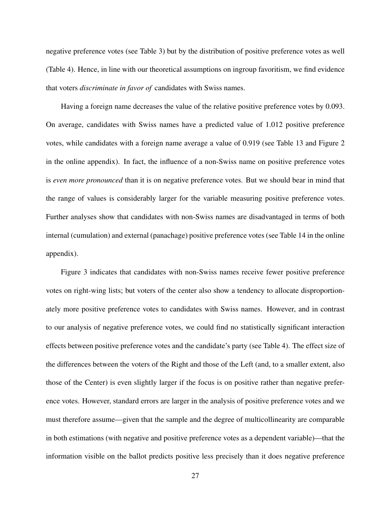negative preference votes (see Table 3) but by the distribution of positive preference votes as well (Table 4). Hence, in line with our theoretical assumptions on ingroup favoritism, we find evidence that voters *discriminate in favor of* candidates with Swiss names.

Having a foreign name decreases the value of the relative positive preference votes by 0.093. On average, candidates with Swiss names have a predicted value of 1.012 positive preference votes, while candidates with a foreign name average a value of 0.919 (see Table 13 and Figure 2 in the online appendix). In fact, the influence of a non-Swiss name on positive preference votes is *even more pronounced* than it is on negative preference votes. But we should bear in mind that the range of values is considerably larger for the variable measuring positive preference votes. Further analyses show that candidates with non-Swiss names are disadvantaged in terms of both internal (cumulation) and external (panachage) positive preference votes (see Table 14 in the online appendix).

[Figure 3](#page-28-0) indicates that candidates with non-Swiss names receive fewer positive preference votes on right-wing lists; but voters of the center also show a tendency to allocate disproportionately more positive preference votes to candidates with Swiss names. However, and in contrast to our analysis of negative preference votes, we could find no statistically significant interaction effects between positive preference votes and the candidate's party (see Table 4). The effect size of the differences between the voters of the Right and those of the Left (and, to a smaller extent, also those of the Center) is even slightly larger if the focus is on positive rather than negative preference votes. However, standard errors are larger in the analysis of positive preference votes and we must therefore assume—given that the sample and the degree of multicollinearity are comparable in both estimations (with negative and positive preference votes as a dependent variable)—that the information visible on the ballot predicts positive less precisely than it does negative preference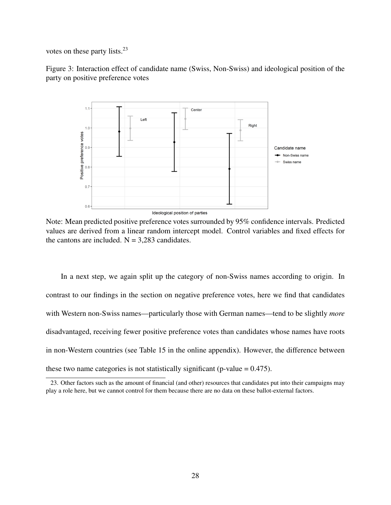votes on these party lists.<sup>[23](#page-28-1)</sup>

<span id="page-28-0"></span>



Note: Mean predicted positive preference votes surrounded by 95% confidence intervals. Predicted values are derived from a linear random intercept model. Control variables and fixed effects for the cantons are included.  $N = 3,283$  candidates.

In a next step, we again split up the category of non-Swiss names according to origin. In contrast to our findings in the section on negative preference votes, here we find that candidates with Western non-Swiss names—particularly those with German names—tend to be slightly *more* disadvantaged, receiving fewer positive preference votes than candidates whose names have roots in non-Western countries (see Table 15 in the online appendix). However, the difference between these two name categories is not statistically significant (p-value  $= 0.475$ ).

<span id="page-28-1"></span><sup>23.</sup> Other factors such as the amount of financial (and other) resources that candidates put into their campaigns may play a role here, but we cannot control for them because there are no data on these ballot-external factors.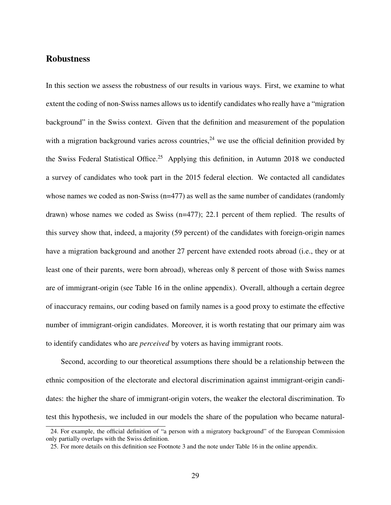#### **Robustness**

In this section we assess the robustness of our results in various ways. First, we examine to what extent the coding of non-Swiss names allows us to identify candidates who really have a "migration background" in the Swiss context. Given that the definition and measurement of the population with a migration background varies across countries,  $24$  we use the official definition provided by the Swiss Federal Statistical Office.<sup>[25](#page-29-1)</sup> Applying this definition, in Autumn 2018 we conducted a survey of candidates who took part in the 2015 federal election. We contacted all candidates whose names we coded as non-Swiss (n=477) as well as the same number of candidates (randomly drawn) whose names we coded as Swiss (n=477); 22.1 percent of them replied. The results of this survey show that, indeed, a majority (59 percent) of the candidates with foreign-origin names have a migration background and another 27 percent have extended roots abroad (i.e., they or at least one of their parents, were born abroad), whereas only 8 percent of those with Swiss names are of immigrant-origin (see Table 16 in the online appendix). Overall, although a certain degree of inaccuracy remains, our coding based on family names is a good proxy to estimate the effective number of immigrant-origin candidates. Moreover, it is worth restating that our primary aim was to identify candidates who are *perceived* by voters as having immigrant roots.

Second, according to our theoretical assumptions there should be a relationship between the ethnic composition of the electorate and electoral discrimination against immigrant-origin candidates: the higher the share of immigrant-origin voters, the weaker the electoral discrimination. To test this hypothesis, we included in our models the share of the population who became natural-

<span id="page-29-0"></span><sup>24.</sup> For example, the official definition of "a person with a migratory background" of the European Commission only partially overlaps with the Swiss definition.

<span id="page-29-1"></span><sup>25.</sup> For more details on this definition see Footnote 3 and the note under Table 16 in the online appendix.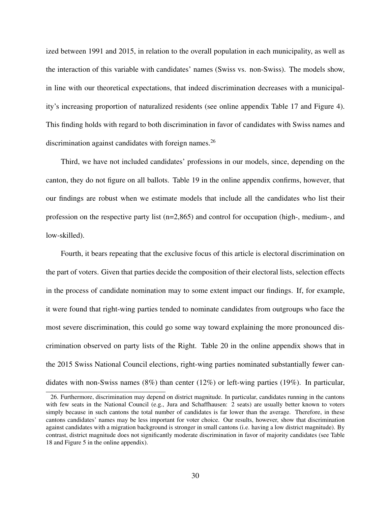ized between 1991 and 2015, in relation to the overall population in each municipality, as well as the interaction of this variable with candidates' names (Swiss vs. non-Swiss). The models show, in line with our theoretical expectations, that indeed discrimination decreases with a municipality's increasing proportion of naturalized residents (see online appendix Table 17 and Figure 4). This finding holds with regard to both discrimination in favor of candidates with Swiss names and discrimination against candidates with foreign names.<sup>[26](#page-30-0)</sup>

Third, we have not included candidates' professions in our models, since, depending on the canton, they do not figure on all ballots. Table 19 in the online appendix confirms, however, that our findings are robust when we estimate models that include all the candidates who list their profession on the respective party list (n=2,865) and control for occupation (high-, medium-, and low-skilled).

Fourth, it bears repeating that the exclusive focus of this article is electoral discrimination on the part of voters. Given that parties decide the composition of their electoral lists, selection effects in the process of candidate nomination may to some extent impact our findings. If, for example, it were found that right-wing parties tended to nominate candidates from outgroups who face the most severe discrimination, this could go some way toward explaining the more pronounced discrimination observed on party lists of the Right. Table 20 in the online appendix shows that in the 2015 Swiss National Council elections, right-wing parties nominated substantially fewer candidates with non-Swiss names (8%) than center (12%) or left-wing parties (19%). In particular,

<span id="page-30-0"></span><sup>26.</sup> Furthermore, discrimination may depend on district magnitude. In particular, candidates running in the cantons with few seats in the National Council (e.g., Jura and Schaffhausen: 2 seats) are usually better known to voters simply because in such cantons the total number of candidates is far lower than the average. Therefore, in these cantons candidates' names may be less important for voter choice. Our results, however, show that discrimination against candidates with a migration background is stronger in small cantons (i.e. having a low district magnitude). By contrast, district magnitude does not significantly moderate discrimination in favor of majority candidates (see Table 18 and Figure 5 in the online appendix).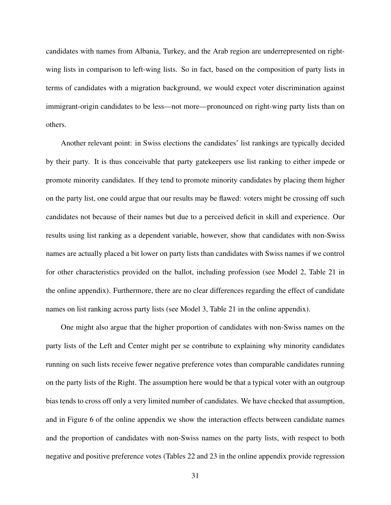candidates with names from Albania, Turkey, and the Arab region are underrepresented on rightwing lists in comparison to left-wing lists. So in fact, based on the composition of party lists in terms of candidates with a migration background, we would expect voter discrimination against immigrant-origin candidates to be less—not more—pronounced on right-wing party lists than on others.

Another relevant point: in Swiss elections the candidates' list rankings are typically decided by their party. It is thus conceivable that party gatekeepers use list ranking to either impede or promote minority candidates. If they tend to promote minority candidates by placing them higher on the party list, one could argue that our results may be flawed: voters might be crossing off such candidates not because of their names but due to a perceived deficit in skill and experience. Our results using list ranking as a dependent variable, however, show that candidates with non-Swiss names are actually placed a bit lower on party lists than candidates with Swiss names if we control for other characteristics provided on the ballot, including profession (see Model 2, Table 21 in the online appendix). Furthermore, there are no clear differences regarding the effect of candidate names on list ranking across party lists (see Model 3, Table 21 in the online appendix).

One might also argue that the higher proportion of candidates with non-Swiss names on the party lists of the Left and Center might per se contribute to explaining why minority candidates running on such lists receive fewer negative preference votes than comparable candidates running on the party lists of the Right. The assumption here would be that a typical voter with an outgroup bias tends to cross off only a very limited number of candidates. We have checked that assumption, and in Figure 6 of the online appendix we show the interaction effects between candidate names and the proportion of candidates with non-Swiss names on the party lists, with respect to both negative and positive preference votes (Tables 22 and 23 in the online appendix provide regression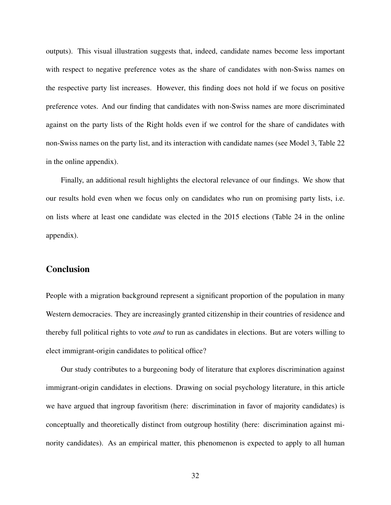outputs). This visual illustration suggests that, indeed, candidate names become less important with respect to negative preference votes as the share of candidates with non-Swiss names on the respective party list increases. However, this finding does not hold if we focus on positive preference votes. And our finding that candidates with non-Swiss names are more discriminated against on the party lists of the Right holds even if we control for the share of candidates with non-Swiss names on the party list, and its interaction with candidate names (see Model 3, Table 22 in the online appendix).

Finally, an additional result highlights the electoral relevance of our findings. We show that our results hold even when we focus only on candidates who run on promising party lists, i.e. on lists where at least one candidate was elected in the 2015 elections (Table 24 in the online appendix).

## **Conclusion**

People with a migration background represent a significant proportion of the population in many Western democracies. They are increasingly granted citizenship in their countries of residence and thereby full political rights to vote *and* to run as candidates in elections. But are voters willing to elect immigrant-origin candidates to political office?

Our study contributes to a burgeoning body of literature that explores discrimination against immigrant-origin candidates in elections. Drawing on social psychology literature, in this article we have argued that ingroup favoritism (here: discrimination in favor of majority candidates) is conceptually and theoretically distinct from outgroup hostility (here: discrimination against minority candidates). As an empirical matter, this phenomenon is expected to apply to all human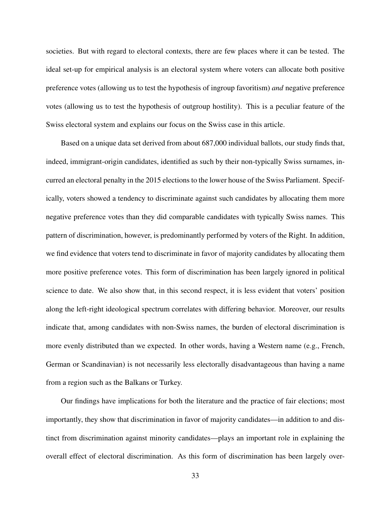societies. But with regard to electoral contexts, there are few places where it can be tested. The ideal set-up for empirical analysis is an electoral system where voters can allocate both positive preference votes (allowing us to test the hypothesis of ingroup favoritism) *and* negative preference votes (allowing us to test the hypothesis of outgroup hostility). This is a peculiar feature of the Swiss electoral system and explains our focus on the Swiss case in this article.

Based on a unique data set derived from about 687,000 individual ballots, our study finds that, indeed, immigrant-origin candidates, identified as such by their non-typically Swiss surnames, incurred an electoral penalty in the 2015 elections to the lower house of the Swiss Parliament. Specifically, voters showed a tendency to discriminate against such candidates by allocating them more negative preference votes than they did comparable candidates with typically Swiss names. This pattern of discrimination, however, is predominantly performed by voters of the Right. In addition, we find evidence that voters tend to discriminate in favor of majority candidates by allocating them more positive preference votes. This form of discrimination has been largely ignored in political science to date. We also show that, in this second respect, it is less evident that voters' position along the left-right ideological spectrum correlates with differing behavior. Moreover, our results indicate that, among candidates with non-Swiss names, the burden of electoral discrimination is more evenly distributed than we expected. In other words, having a Western name (e.g., French, German or Scandinavian) is not necessarily less electorally disadvantageous than having a name from a region such as the Balkans or Turkey.

Our findings have implications for both the literature and the practice of fair elections; most importantly, they show that discrimination in favor of majority candidates—in addition to and distinct from discrimination against minority candidates—plays an important role in explaining the overall effect of electoral discrimination. As this form of discrimination has been largely over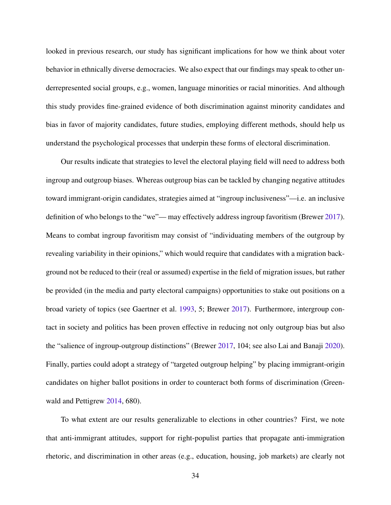looked in previous research, our study has significant implications for how we think about voter behavior in ethnically diverse democracies. We also expect that our findings may speak to other underrepresented social groups, e.g., women, language minorities or racial minorities. And although this study provides fine-grained evidence of both discrimination against minority candidates and bias in favor of majority candidates, future studies, employing different methods, should help us understand the psychological processes that underpin these forms of electoral discrimination.

Our results indicate that strategies to level the electoral playing field will need to address both ingroup and outgroup biases. Whereas outgroup bias can be tackled by changing negative attitudes toward immigrant-origin candidates, strategies aimed at "ingroup inclusiveness"—i.e. an inclusive definition of who belongs to the "we"— may effectively address ingroup favoritism (Brewer [2017\)](#page-39-3). Means to combat ingroup favoritism may consist of "individuating members of the outgroup by revealing variability in their opinions," which would require that candidates with a migration background not be reduced to their (real or assumed) expertise in the field of migration issues, but rather be provided (in the media and party electoral campaigns) opportunities to stake out positions on a broad variety of topics (see Gaertner et al. [1993,](#page-40-5) 5; Brewer [2017\)](#page-39-3). Furthermore, intergroup contact in society and politics has been proven effective in reducing not only outgroup bias but also the "salience of ingroup-outgroup distinctions" (Brewer [2017,](#page-39-3) 104; see also Lai and Banaji [2020\)](#page-42-4). Finally, parties could adopt a strategy of "targeted outgroup helping" by placing immigrant-origin candidates on higher ballot positions in order to counteract both forms of discrimination (Greenwald and Pettigrew [2014,](#page-41-1) 680).

To what extent are our results generalizable to elections in other countries? First, we note that anti-immigrant attitudes, support for right-populist parties that propagate anti-immigration rhetoric, and discrimination in other areas (e.g., education, housing, job markets) are clearly not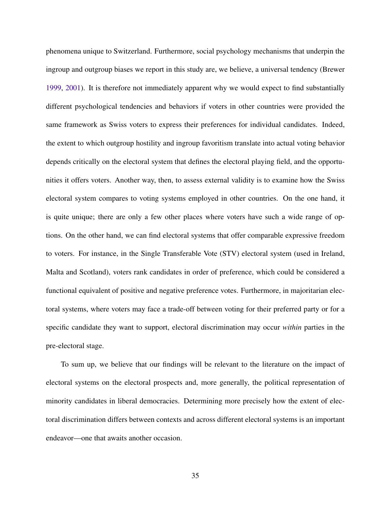phenomena unique to Switzerland. Furthermore, social psychology mechanisms that underpin the ingroup and outgroup biases we report in this study are, we believe, a universal tendency (Brewer [1999,](#page-39-7) [2001\)](#page-39-8). It is therefore not immediately apparent why we would expect to find substantially different psychological tendencies and behaviors if voters in other countries were provided the same framework as Swiss voters to express their preferences for individual candidates. Indeed, the extent to which outgroup hostility and ingroup favoritism translate into actual voting behavior depends critically on the electoral system that defines the electoral playing field, and the opportunities it offers voters. Another way, then, to assess external validity is to examine how the Swiss electoral system compares to voting systems employed in other countries. On the one hand, it is quite unique; there are only a few other places where voters have such a wide range of options. On the other hand, we can find electoral systems that offer comparable expressive freedom to voters. For instance, in the Single Transferable Vote (STV) electoral system (used in Ireland, Malta and Scotland), voters rank candidates in order of preference, which could be considered a functional equivalent of positive and negative preference votes. Furthermore, in majoritarian electoral systems, where voters may face a trade-off between voting for their preferred party or for a specific candidate they want to support, electoral discrimination may occur *within* parties in the pre-electoral stage.

To sum up, we believe that our findings will be relevant to the literature on the impact of electoral systems on the electoral prospects and, more generally, the political representation of minority candidates in liberal democracies. Determining more precisely how the extent of electoral discrimination differs between contexts and across different electoral systems is an important endeavor—one that awaits another occasion.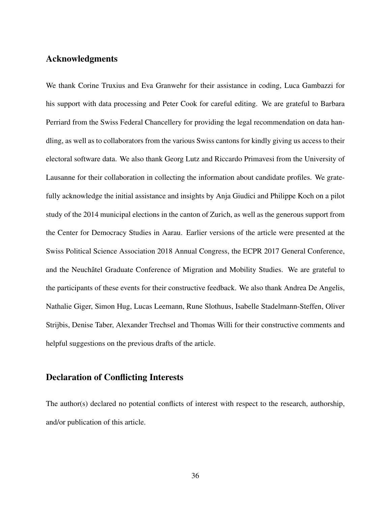## Acknowledgments

We thank Corine Truxius and Eva Granwehr for their assistance in coding, Luca Gambazzi for his support with data processing and Peter Cook for careful editing. We are grateful to Barbara Perriard from the Swiss Federal Chancellery for providing the legal recommendation on data handling, as well as to collaborators from the various Swiss cantons for kindly giving us access to their electoral software data. We also thank Georg Lutz and Riccardo Primavesi from the University of Lausanne for their collaboration in collecting the information about candidate profiles. We gratefully acknowledge the initial assistance and insights by Anja Giudici and Philippe Koch on a pilot study of the 2014 municipal elections in the canton of Zurich, as well as the generous support from the Center for Democracy Studies in Aarau. Earlier versions of the article were presented at the Swiss Political Science Association 2018 Annual Congress, the ECPR 2017 General Conference, and the Neuchâtel Graduate Conference of Migration and Mobility Studies. We are grateful to the participants of these events for their constructive feedback. We also thank Andrea De Angelis, Nathalie Giger, Simon Hug, Lucas Leemann, Rune Slothuus, Isabelle Stadelmann-Steffen, Oliver Strijbis, Denise Taber, Alexander Trechsel and Thomas Willi for their constructive comments and helpful suggestions on the previous drafts of the article.

## Declaration of Conflicting Interests

The author(s) declared no potential conflicts of interest with respect to the research, authorship, and/or publication of this article.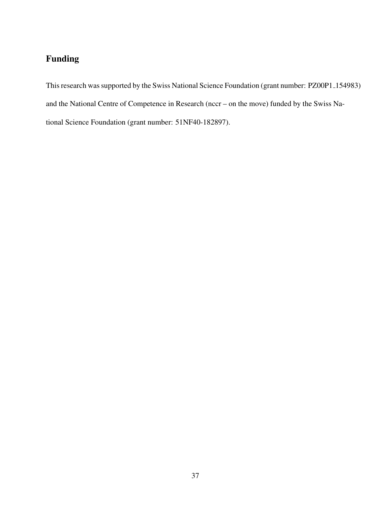## Funding

This research was supported by the Swiss National Science Foundation (grant number: PZ00P1 154983) and the National Centre of Competence in Research (nccr – on the move) funded by the Swiss National Science Foundation (grant number: 51NF40-182897).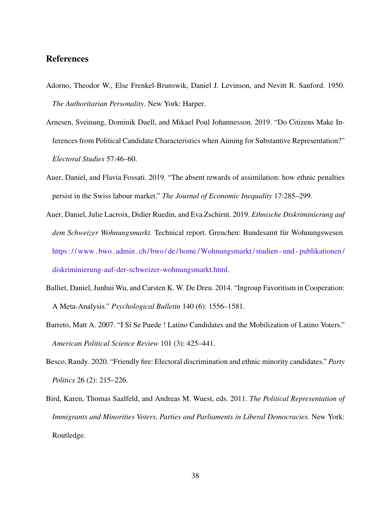## References

- <span id="page-38-5"></span>Adorno, Theodor W., Else Frenkel-Brunswik, Daniel J. Levinson, and Nevitt R. Sanford. 1950. *The Authoritarian Personality.* New York: Harper.
- <span id="page-38-6"></span>Arnesen, Sveinung, Dominik Duell, and Mikael Poul Johannesson. 2019. "Do Citizens Make Inferences from Political Candidate Characteristics when Aiming for Substantive Representation?" *Electoral Studies* 57:46–60.
- <span id="page-38-4"></span>Auer, Daniel, and Flavia Fossati. 2019. "The absent rewards of assimilation: how ethnic penalties persist in the Swiss labour market." *The Journal of Economic Inequality* 17:285–299.
- <span id="page-38-7"></span>Auer, Daniel, Julie Lacroix, Didier Ruedin, and Eva Zschirnt. 2019. *Ethnische Diskriminierung auf dem Schweizer Wohnungsmarkt.* Technical report. Grenchen: Bundesamt fur Wohnungswesen. ¨ https ://www.bwo.admin.ch/bwo/de/home/Wohnungsmarkt/studien- und-publikationen/ [diskriminierung-auf-der-schweizer-wohnungsmarkt.html.](https://www.bwo.admin.ch/bwo/de/home/Wohnungsmarkt/studien-und-publikationen/diskriminierung-auf-der-schweizer-wohnungsmarkt.html)
- <span id="page-38-1"></span>Balliet, Daniel, Junhui Wu, and Carsten K. W. De Dreu. 2014. "Ingroup Favoritism in Cooperation: A Meta-Analysis." *Psychological Bulletin* 140 (6): 1556–1581.
- <span id="page-38-2"></span>Barreto, Matt A. 2007. "I Sí Se Puede ! Latino Candidates and the Mobilization of Latino Voters." *American Political Science Review* 101 (3): 425–441.
- <span id="page-38-3"></span>Besco, Randy. 2020. "Friendly fire: Electoral discrimination and ethnic minority candidates." *Party Politics* 26 (2): 215–226.
- <span id="page-38-0"></span>Bird, Karen, Thomas Saalfeld, and Andreas M. Wuest, eds. 2011. *The Political Representation of Immigrants and Minorities Voters, Parties and Parliaments in Liberal Democracies.* New York: Routledge.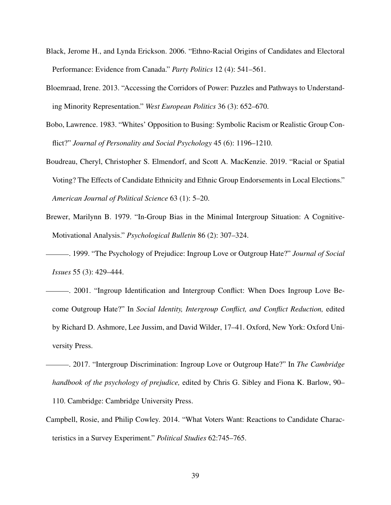- <span id="page-39-2"></span>Black, Jerome H., and Lynda Erickson. 2006. "Ethno-Racial Origins of Candidates and Electoral Performance: Evidence from Canada." *Party Politics* 12 (4): 541–561.
- <span id="page-39-0"></span>Bloemraad, Irene. 2013. "Accessing the Corridors of Power: Puzzles and Pathways to Understanding Minority Representation." *West European Politics* 36 (3): 652–670.
- <span id="page-39-4"></span>Bobo, Lawrence. 1983. "Whites' Opposition to Busing: Symbolic Racism or Realistic Group Conflict?" *Journal of Personality and Social Psychology* 45 (6): 1196–1210.
- <span id="page-39-1"></span>Boudreau, Cheryl, Christopher S. Elmendorf, and Scott A. MacKenzie. 2019. "Racial or Spatial Voting? The Effects of Candidate Ethnicity and Ethnic Group Endorsements in Local Elections." *American Journal of Political Science* 63 (1): 5–20.
- <span id="page-39-6"></span>Brewer, Marilynn B. 1979. "In-Group Bias in the Minimal Intergroup Situation: A Cognitive-Motivational Analysis." *Psychological Bulletin* 86 (2): 307–324.
- <span id="page-39-7"></span>. 1999. "The Psychology of Prejudice: Ingroup Love or Outgroup Hate?" *Journal of Social Issues* 55 (3): 429–444.
- <span id="page-39-8"></span>. 2001. "Ingroup Identification and Intergroup Conflict: When Does Ingroup Love Become Outgroup Hate?" In *Social Identity, Intergroup Conflict, and Conflict Reduction,* edited by Richard D. Ashmore, Lee Jussim, and David Wilder, 17–41. Oxford, New York: Oxford University Press.
- <span id="page-39-3"></span>. 2017. "Intergroup Discrimination: Ingroup Love or Outgroup Hate?" In *The Cambridge handbook of the psychology of prejudice,* edited by Chris G. Sibley and Fiona K. Barlow, 90–

<span id="page-39-5"></span>110. Cambridge: Cambridge University Press.

Campbell, Rosie, and Philip Cowley. 2014. "What Voters Want: Reactions to Candidate Characteristics in a Survey Experiment." *Political Studies* 62:745–765.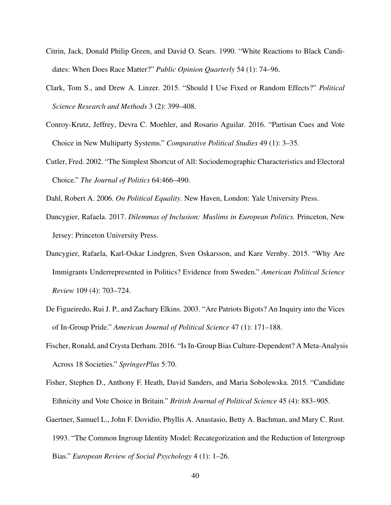- <span id="page-40-6"></span>Citrin, Jack, Donald Philip Green, and David O. Sears. 1990. "White Reactions to Black Candidates: When Does Race Matter?" *Public Opinion Quarterly* 54 (1): 74–96.
- <span id="page-40-9"></span>Clark, Tom S., and Drew A. Linzer. 2015. "Should I Use Fixed or Random Effects?" *Political Science Research and Methods* 3 (2): 399–408.
- <span id="page-40-4"></span>Conroy-Krutz, Jeffrey, Devra C. Moehler, and Rosario Aguilar. 2016. "Partisan Cues and Vote Choice in New Multiparty Systems." *Comparative Political Studies* 49 (1): 3–35.
- <span id="page-40-7"></span>Cutler, Fred. 2002. "The Simplest Shortcut of All: Sociodemographic Characteristics and Electoral Choice." *The Journal of Politics* 64:466–490.

<span id="page-40-10"></span><span id="page-40-0"></span>Dahl, Robert A. 2006. *On Political Equality.* New Haven, London: Yale University Press.

- Dancygier, Rafaela. 2017. *Dilemmas of Inclusion: Muslims in European Politics.* Princeton, New Jersey: Princeton University Press.
- <span id="page-40-1"></span>Dancygier, Rafaela, Karl-Oskar Lindgren, Sven Oskarsson, and Kare Vernby. 2015. "Why Are Immigrants Underrepresented in Politics? Evidence from Sweden." *American Political Science Review* 109 (4): 703–724.
- <span id="page-40-8"></span>De Figueiredo, Rui J. P., and Zachary Elkins. 2003. "Are Patriots Bigots? An Inquiry into the Vices of In-Group Pride." *American Journal of Political Science* 47 (1): 171–188.
- <span id="page-40-3"></span>Fischer, Ronald, and Crysta Derham. 2016. "Is In-Group Bias Culture-Dependent? A Meta-Analysis Across 18 Societies." *SpringerPlus* 5:70.
- <span id="page-40-2"></span>Fisher, Stephen D., Anthony F. Heath, David Sanders, and Maria Sobolewska. 2015. "Candidate Ethnicity and Vote Choice in Britain." *British Journal of Political Science* 45 (4): 883–905.
- <span id="page-40-5"></span>Gaertner, Samuel L., John F. Dovidio, Phyllis A. Anastasio, Betty A. Bachman, and Mary C. Rust. 1993. "The Common Ingroup Identity Model: Recategorization and the Reduction of Intergroup Bias." *European Review of Social Psychology* 4 (1): 1–26.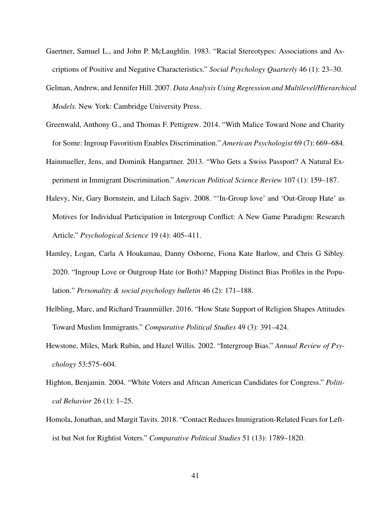- <span id="page-41-8"></span>Gaertner, Samuel L., and John P. McLaughlin. 1983. "Racial Stereotypes: Associations and Ascriptions of Positive and Negative Characteristics." *Social Psychology Quarterly* 46 (1): 23–30.
- <span id="page-41-9"></span>Gelman, Andrew, and Jennifer Hill. 2007. *Data Analysis Using Regression and Multilevel/Hierarchical Models.* New York: Cambridge University Press.
- <span id="page-41-1"></span>Greenwald, Anthony G., and Thomas F. Pettigrew. 2014. "With Malice Toward None and Charity for Some: Ingroup Favoritism Enables Discrimination." *American Psychologist* 69 (7): 669–684.

<span id="page-41-5"></span>Hainmueller, Jens, and Dominik Hangartner. 2013. "Who Gets a Swiss Passport? A Natural Ex-

<span id="page-41-3"></span>periment in Immigrant Discrimination." *American Political Science Review* 107 (1): 159–187.

- Halevy, Nir, Gary Bornstein, and Lilach Sagiv. 2008. "'In-Group love' and 'Out-Group Hate' as Motives for Individual Participation in Intergroup Conflict: A New Game Paradigm: Research Article." *Psychological Science* 19 (4): 405–411.
- <span id="page-41-7"></span>Hamley, Logan, Carla A Houkamau, Danny Osborne, Fiona Kate Barlow, and Chris G Sibley. 2020. "Ingroup Love or Outgroup Hate (or Both)? Mapping Distinct Bias Profiles in the Population." *Personality & social psychology bulletin* 46 (2): 171–188.
- <span id="page-41-4"></span>Helbling, Marc, and Richard Traunmüller. 2016. "How State Support of Religion Shapes Attitudes Toward Muslim Immigrants." *Comparative Political Studies* 49 (3): 391–424.
- <span id="page-41-2"></span>Hewstone, Miles, Mark Rubin, and Hazel Willis. 2002. "Intergroup Bias." *Annual Review of Psychology* 53:575–604.
- <span id="page-41-0"></span>Highton, Benjamin. 2004. "White Voters and African American Candidates for Congress." *Political Behavior* 26 (1): 1–25.
- <span id="page-41-6"></span>Homola, Jonathan, and Margit Tavits. 2018. "Contact Reduces Immigration-Related Fears for Leftist but Not for Rightist Voters." *Comparative Political Studies* 51 (13): 1789–1820.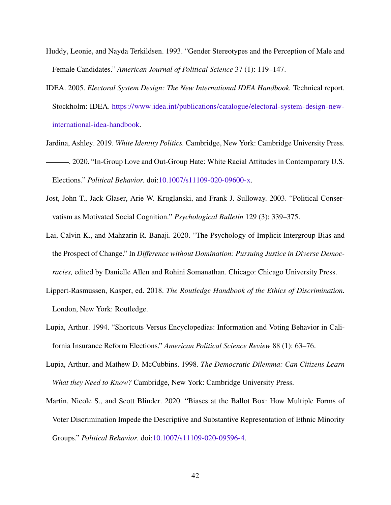- <span id="page-42-6"></span>Huddy, Leonie, and Nayda Terkildsen. 1993. "Gender Stereotypes and the Perception of Male and Female Candidates." *American Journal of Political Science* 37 (1): 119–147.
- <span id="page-42-9"></span>IDEA. 2005. *Electoral System Design: The New International IDEA Handbook.* Technical report. Stockholm: IDEA. [https://www.idea.int/publications/catalogue/electoral-system-design-new](https://www.idea.int/publications/catalogue/electoral-system-design-new-international-idea-handbook)[international-idea-handbook.](https://www.idea.int/publications/catalogue/electoral-system-design-new-international-idea-handbook)
- <span id="page-42-2"></span><span id="page-42-1"></span>Jardina, Ashley. 2019. *White Identity Politics.* Cambridge, New York: Cambridge University Press. . 2020. "In-Group Love and Out-Group Hate: White Racial Attitudes in Contemporary U.S. Elections." *Political Behavior.* doi[:10.1007/s11109-020-09600-x.](http://dx.doi.org/10.1007/s11109-020-09600-x)
- <span id="page-42-8"></span>Jost, John T., Jack Glaser, Arie W. Kruglanski, and Frank J. Sulloway. 2003. "Political Conservatism as Motivated Social Cognition." *Psychological Bulletin* 129 (3): 339–375.
- <span id="page-42-4"></span>Lai, Calvin K., and Mahzarin R. Banaji. 2020. "The Psychology of Implicit Intergroup Bias and the Prospect of Change." In *Difference without Domination: Pursuing Justice in Diverse Democracies,* edited by Danielle Allen and Rohini Somanathan. Chicago: Chicago University Press.
- <span id="page-42-5"></span>Lippert-Rasmussen, Kasper, ed. 2018. *The Routledge Handbook of the Ethics of Discrimination.* London, New York: Routledge.
- <span id="page-42-7"></span>Lupia, Arthur. 1994. "Shortcuts Versus Encyclopedias: Information and Voting Behavior in California Insurance Reform Elections." *American Political Science Review* 88 (1): 63–76.
- <span id="page-42-3"></span>Lupia, Arthur, and Mathew D. McCubbins. 1998. *The Democratic Dilemma: Can Citizens Learn What they Need to Know?* Cambridge, New York: Cambridge University Press.
- <span id="page-42-0"></span>Martin, Nicole S., and Scott Blinder. 2020. "Biases at the Ballot Box: How Multiple Forms of Voter Discrimination Impede the Descriptive and Substantive Representation of Ethnic Minority Groups." *Political Behavior.* doi[:10.1007/s11109-020-09596-4.](http://dx.doi.org/10.1007/s11109-020-09596-4)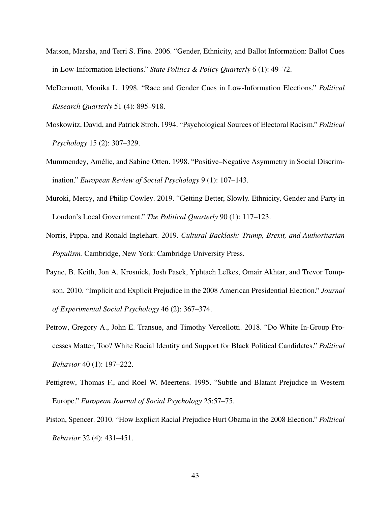- <span id="page-43-3"></span>Matson, Marsha, and Terri S. Fine. 2006. "Gender, Ethnicity, and Ballot Information: Ballot Cues in Low-Information Elections." *State Politics & Policy Quarterly* 6 (1): 49–72.
- <span id="page-43-4"></span>McDermott, Monika L. 1998. "Race and Gender Cues in Low-Information Elections." *Political Research Quarterly* 51 (4): 895–918.
- <span id="page-43-0"></span>Moskowitz, David, and Patrick Stroh. 1994. "Psychological Sources of Electoral Racism." *Political Psychology* 15 (2): 307–329.
- <span id="page-43-1"></span>Mummendey, Amélie, and Sabine Otten. 1998. "Positive–Negative Asymmetry in Social Discrimination." *European Review of Social Psychology* 9 (1): 107–143.
- <span id="page-43-9"></span>Muroki, Mercy, and Philip Cowley. 2019. "Getting Better, Slowly. Ethnicity, Gender and Party in London's Local Government." *The Political Quarterly* 90 (1): 117–123.
- <span id="page-43-8"></span>Norris, Pippa, and Ronald Inglehart. 2019. *Cultural Backlash: Trump, Brexit, and Authoritarian Populism.* Cambridge, New York: Cambridge University Press.
- <span id="page-43-7"></span>Payne, B. Keith, Jon A. Krosnick, Josh Pasek, Yphtach Lelkes, Omair Akhtar, and Trevor Tompson. 2010. "Implicit and Explicit Prejudice in the 2008 American Presidential Election." *Journal of Experimental Social Psychology* 46 (2): 367–374.
- <span id="page-43-2"></span>Petrow, Gregory A., John E. Transue, and Timothy Vercellotti. 2018. "Do White In-Group Processes Matter, Too? White Racial Identity and Support for Black Political Candidates." *Political Behavior* 40 (1): 197–222.
- <span id="page-43-6"></span>Pettigrew, Thomas F., and Roel W. Meertens. 1995. "Subtle and Blatant Prejudice in Western Europe." *European Journal of Social Psychology* 25:57–75.
- <span id="page-43-5"></span>Piston, Spencer. 2010. "How Explicit Racial Prejudice Hurt Obama in the 2008 Election." *Political Behavior* 32 (4): 431–451.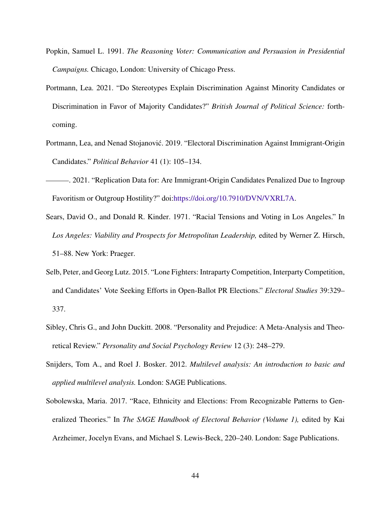- <span id="page-44-5"></span>Popkin, Samuel L. 1991. *The Reasoning Voter: Communication and Persuasion in Presidential Campaigns.* Chicago, London: University of Chicago Press.
- <span id="page-44-3"></span>Portmann, Lea. 2021. "Do Stereotypes Explain Discrimination Against Minority Candidates or Discrimination in Favor of Majority Candidates?" *British Journal of Political Science:* forthcoming.
- <span id="page-44-0"></span>Portmann, Lea, and Nenad Stojanović. 2019. "Electoral Discrimination Against Immigrant-Origin Candidates." *Political Behavior* 41 (1): 105–134.
- <span id="page-44-7"></span>. 2021. "Replication Data for: Are Immigrant-Origin Candidates Penalized Due to Ingroup Favoritism or Outgroup Hostility?" doi[:https://doi.org/10.7910/DVN/VXRL7A.](http://dx.doi.org/https://doi.org/10.7910/DVN/VXRL7A)
- <span id="page-44-1"></span>Sears, David O., and Donald R. Kinder. 1971. "Racial Tensions and Voting in Los Angeles." In *Los Angeles: Viability and Prospects for Metropolitan Leadership,* edited by Werner Z. Hirsch, 51–88. New York: Praeger.
- <span id="page-44-2"></span>Selb, Peter, and Georg Lutz. 2015. "Lone Fighters: Intraparty Competition, Interparty Competition, and Candidates' Vote Seeking Efforts in Open-Ballot PR Elections." *Electoral Studies* 39:329– 337.
- <span id="page-44-6"></span>Sibley, Chris G., and John Duckitt. 2008. "Personality and Prejudice: A Meta-Analysis and Theoretical Review." *Personality and Social Psychology Review* 12 (3): 248–279.
- <span id="page-44-8"></span>Snijders, Tom A., and Roel J. Bosker. 2012. *Multilevel analysis: An introduction to basic and applied multilevel analysis.* London: SAGE Publications.
- <span id="page-44-4"></span>Sobolewska, Maria. 2017. "Race, Ethnicity and Elections: From Recognizable Patterns to Generalized Theories." In *The SAGE Handbook of Electoral Behavior (Volume 1),* edited by Kai Arzheimer, Jocelyn Evans, and Michael S. Lewis-Beck, 220–240. London: Sage Publications.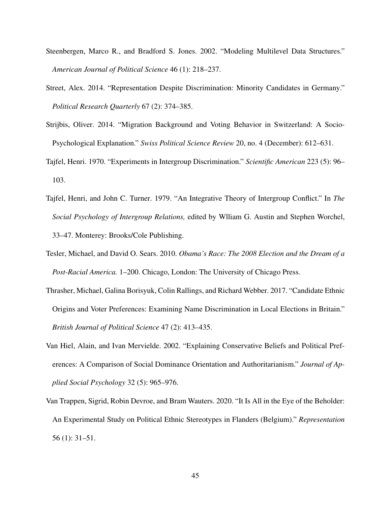- <span id="page-45-8"></span>Steenbergen, Marco R., and Bradford S. Jones. 2002. "Modeling Multilevel Data Structures." *American Journal of Political Science* 46 (1): 218–237.
- <span id="page-45-1"></span>Street, Alex. 2014. "Representation Despite Discrimination: Minority Candidates in Germany." *Political Research Quarterly* 67 (2): 374–385.
- <span id="page-45-3"></span>Strijbis, Oliver. 2014. "Migration Background and Voting Behavior in Switzerland: A Socio-Psychological Explanation." *Swiss Political Science Review* 20, no. 4 (December): 612–631.
- <span id="page-45-6"></span>Tajfel, Henri. 1970. "Experiments in Intergroup Discrimination." *Scientific American* 223 (5): 96– 103.
- <span id="page-45-7"></span>Tajfel, Henri, and John C. Turner. 1979. "An Integrative Theory of Intergroup Conflict." In *The Social Psychology of Intergroup Relations,* edited by Wlliam G. Austin and Stephen Worchel, 33–47. Monterey: Brooks/Cole Publishing.
- <span id="page-45-2"></span>Tesler, Michael, and David O. Sears. 2010. *Obama's Race: The 2008 Election and the Dream of a Post-Racial America.* 1–200. Chicago, London: The University of Chicago Press.
- <span id="page-45-0"></span>Thrasher, Michael, Galina Borisyuk, Colin Rallings, and Richard Webber. 2017. "Candidate Ethnic Origins and Voter Preferences: Examining Name Discrimination in Local Elections in Britain." *British Journal of Political Science* 47 (2): 413–435.
- <span id="page-45-4"></span>Van Hiel, Alain, and Ivan Mervielde. 2002. "Explaining Conservative Beliefs and Political Preferences: A Comparison of Social Dominance Orientation and Authoritarianism." *Journal of Applied Social Psychology* 32 (5): 965–976.
- <span id="page-45-5"></span>Van Trappen, Sigrid, Robin Devroe, and Bram Wauters. 2020. "It Is All in the Eye of the Beholder: An Experimental Study on Political Ethnic Stereotypes in Flanders (Belgium)." *Representation* 56 (1): 31–51.